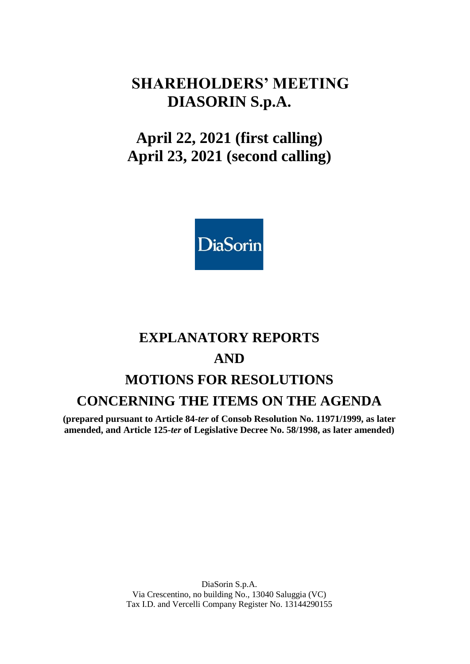# **SHAREHOLDERS' MEETING DIASORIN S.p.A.**

# **April 22, 2021 (first calling) April 23, 2021 (second calling)**



# **EXPLANATORY REPORTS AND MOTIONS FOR RESOLUTIONS CONCERNING THE ITEMS ON THE AGENDA**

**(prepared pursuant to Article 84-***ter* **of Consob Resolution No. 11971/1999, as later amended, and Article 125-***ter* **of Legislative Decree No. 58/1998, as later amended)**

> DiaSorin S.p.A. Via Crescentino, no building No., 13040 Saluggia (VC) Tax I.D. and Vercelli Company Register No. 13144290155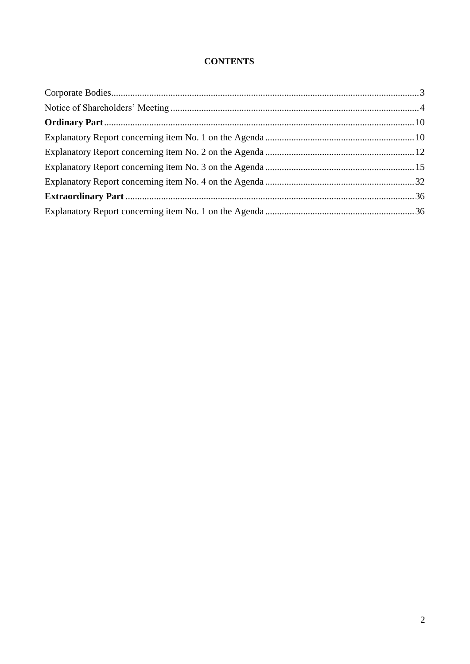# **CONTENTS**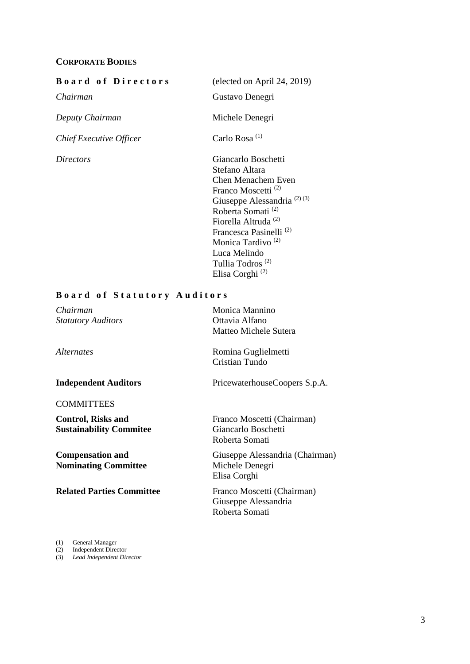#### <span id="page-2-0"></span>**CORPORATE BODIES**

#### **B o** a r **d of Directors** (elected on April 24, 2019)

*Chief Executive Officer* Carlo Rosa<sup>(1)</sup>

*Chairman* Gustavo Denegri *Deputy Chairman* Michele Denegri *Directors* Giancarlo Boschetti Stefano Altara Chen Menachem Even Franco Moscetti (2) Giuseppe Alessandria<sup>(2)(3)</sup> Roberta Somati (2) Fiorella Altruda (2) Francesca Pasinelli (2) Monica Tardivo (2) Luca Melindo Tullia Todros (2) Elisa Corghi (2)

#### **B o a r d o f S t a t u t o r y A u d i t o r s**

| Chairman                         | Monica Mannino                  |
|----------------------------------|---------------------------------|
| <b>Statutory Auditors</b>        | Ottavia Alfano                  |
|                                  | Matteo Michele Sutera           |
| <i>Alternates</i>                | Romina Guglielmetti             |
|                                  | Cristian Tundo                  |
| <b>Independent Auditors</b>      | PricewaterhouseCoopers S.p.A.   |
| <b>COMMITTEES</b>                |                                 |
| <b>Control, Risks and</b>        | Franco Moscetti (Chairman)      |
| <b>Sustainability Commitee</b>   | Giancarlo Boschetti             |
|                                  | Roberta Somati                  |
| <b>Compensation and</b>          | Giuseppe Alessandria (Chairman) |
| <b>Nominating Committee</b>      | Michele Denegri                 |
|                                  | Elisa Corghi                    |
| <b>Related Parties Committee</b> | Franco Moscetti (Chairman)      |
|                                  | Giuseppe Alessandria            |
|                                  | Roberta Somati                  |

(1) General Manager

(2) Independent Director

(3) *Lead Independent Director*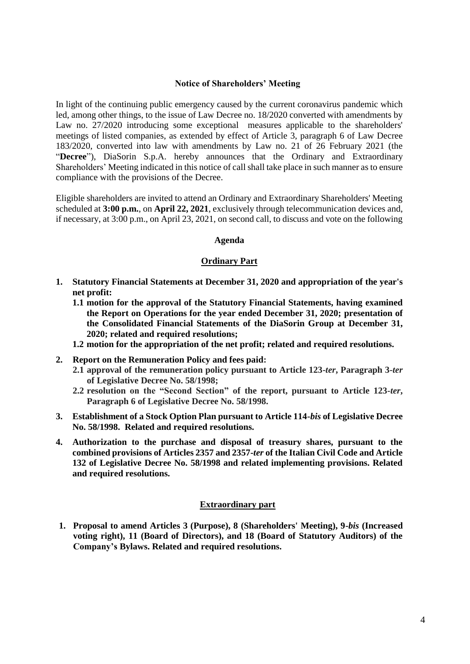#### **Notice of Shareholders' Meeting**

<span id="page-3-0"></span>In light of the continuing public emergency caused by the current coronavirus pandemic which led, among other things, to the issue of Law Decree no. 18/2020 converted with amendments by Law no. 27/2020 introducing some exceptional measures applicable to the shareholders' meetings of listed companies, as extended by effect of Article 3, paragraph 6 of Law Decree 183/2020, converted into law with amendments by Law no. 21 of 26 February 2021 (the "**Decree**"), DiaSorin S.p.A. hereby announces that the Ordinary and Extraordinary Shareholders' Meeting indicated in this notice of call shall take place in such manner as to ensure compliance with the provisions of the Decree.

Eligible shareholders are invited to attend an Ordinary and Extraordinary Shareholders' Meeting scheduled at **3:00 p.m.**, on **April 22, 2021**, exclusively through telecommunication devices and, if necessary, at 3:00 p.m., on April 23, 2021, on second call, to discuss and vote on the following

#### **Agenda**

#### **Ordinary Part**

- **1. Statutory Financial Statements at December 31, 2020 and appropriation of the year's net profit:**
	- **1.1 motion for the approval of the Statutory Financial Statements, having examined the Report on Operations for the year ended December 31, 2020; presentation of the Consolidated Financial Statements of the DiaSorin Group at December 31, 2020; related and required resolutions;**
	- **1.2 motion for the appropriation of the net profit; related and required resolutions.**
- **2. Report on the Remuneration Policy and fees paid:**
	- **2.1 approval of the remuneration policy pursuant to Article 123-***ter***, Paragraph 3-***ter* **of Legislative Decree No. 58/1998;**
	- **2.2 resolution on the "Second Section" of the report, pursuant to Article 123-***ter***, Paragraph 6 of Legislative Decree No. 58/1998.**
- **3. Establishment of a Stock Option Plan pursuant to Article 114-***bis* **of Legislative Decree No. 58/1998. Related and required resolutions.**
- **4. Authorization to the purchase and disposal of treasury shares, pursuant to the combined provisions of Articles 2357 and 2357-***ter* **of the Italian Civil Code and Article 132 of Legislative Decree No. 58/1998 and related implementing provisions. Related and required resolutions.**

#### **Extraordinary part**

**1. Proposal to amend Articles 3 (Purpose), 8 (Shareholders' Meeting), 9-***bis* **(Increased voting right), 11 (Board of Directors), and 18 (Board of Statutory Auditors) of the Company's Bylaws. Related and required resolutions.**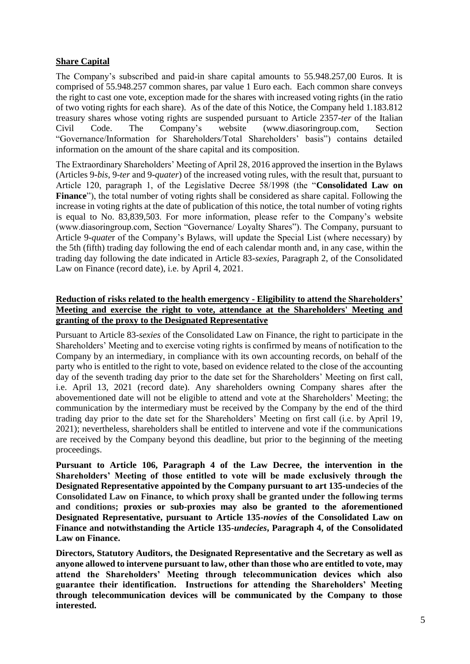#### **Share Capital**

The Company's subscribed and paid-in share capital amounts to 55.948.257,00 Euros. It is comprised of 55.948.257 common shares, par value 1 Euro each. Each common share conveys the right to cast one vote, exception made for the shares with increased voting rights (in the ratio of two voting rights for each share). As of the date of this Notice, the Company held 1.183.812 treasury shares whose voting rights are suspended pursuant to Article 2357-*ter* of the Italian Civil Code. The Company's website (www.diasoringroup.com, Section "Governance/Information for Shareholders/Total Shareholders' basis") contains detailed information on the amount of the share capital and its composition.

The Extraordinary Shareholders' Meeting of April 28, 2016 approved the insertion in the Bylaws (Articles 9-*bis*, 9-*ter* and 9-*quater*) of the increased voting rules, with the result that, pursuant to Article 120, paragraph 1, of the Legislative Decree 58/1998 (the "**Consolidated Law on Finance**"), the total number of voting rights shall be considered as share capital. Following the increase in voting rights at the date of publication of this notice, the total number of voting rights is equal to No. 83,839,503. For more information, please refer to the Company's website (www.diasoringroup.com, Section "Governance/ Loyalty Shares"). The Company, pursuant to Article 9-*quate*r of the Company's Bylaws, will update the Special List (where necessary) by the 5th (fifth) trading day following the end of each calendar month and, in any case, within the trading day following the date indicated in Article 83-*sexies*, Paragraph 2, of the Consolidated Law on Finance (record date), i.e. by April 4, 2021.

#### **Reduction of risks related to the health emergency - Eligibility to attend the Shareholders' Meeting and exercise the right to vote, attendance at the Shareholders' Meeting and granting of the proxy to the Designated Representative**

Pursuant to Article 83-*sexies* of the Consolidated Law on Finance, the right to participate in the Shareholders' Meeting and to exercise voting rights is confirmed by means of notification to the Company by an intermediary, in compliance with its own accounting records, on behalf of the party who is entitled to the right to vote, based on evidence related to the close of the accounting day of the seventh trading day prior to the date set for the Shareholders' Meeting on first call, i.e. April 13, 2021 (record date). Any shareholders owning Company shares after the abovementioned date will not be eligible to attend and vote at the Shareholders' Meeting; the communication by the intermediary must be received by the Company by the end of the third trading day prior to the date set for the Shareholders' Meeting on first call (i.e. by April 19, 2021); nevertheless, shareholders shall be entitled to intervene and vote if the communications are received by the Company beyond this deadline, but prior to the beginning of the meeting proceedings.

**Pursuant to Article 106, Paragraph 4 of the Law Decree, the intervention in the Shareholders' Meeting of those entitled to vote will be made exclusively through the Designated Representative appointed by the Company pursuant to art 135-undecies of the Consolidated Law on Finance, to which proxy shall be granted under the following terms and conditions; proxies or sub-proxies may also be granted to the aforementioned Designated Representative, pursuant to Article 135-***novies* **of the Consolidated Law on Finance and notwithstanding the Article 135-***undecies***, Paragraph 4, of the Consolidated Law on Finance.**

**Directors, Statutory Auditors, the Designated Representative and the Secretary as well as anyone allowed to intervene pursuant to law, other than those who are entitled to vote, may attend the Shareholders' Meeting through telecommunication devices which also guarantee their identification. Instructions for attending the Shareholders' Meeting through telecommunication devices will be communicated by the Company to those interested.**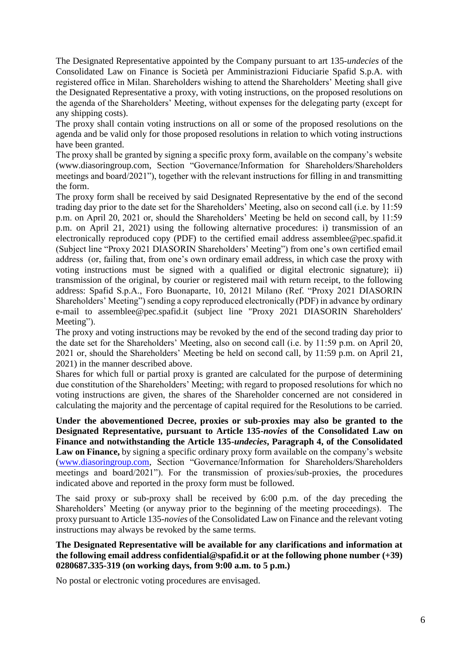The Designated Representative appointed by the Company pursuant to art 135-*undecies* of the Consolidated Law on Finance is Società per Amministrazioni Fiduciarie Spafid S.p.A. with registered office in Milan. Shareholders wishing to attend the Shareholders' Meeting shall give the Designated Representative a proxy, with voting instructions, on the proposed resolutions on the agenda of the Shareholders' Meeting, without expenses for the delegating party (except for any shipping costs).

The proxy shall contain voting instructions on all or some of the proposed resolutions on the agenda and be valid only for those proposed resolutions in relation to which voting instructions have been granted.

The proxy shall be granted by signing a specific proxy form, available on the company's website (www.diasoringroup.com, Section "Governance/Information for Shareholders/Shareholders meetings and board/2021"), together with the relevant instructions for filling in and transmitting the form.

The proxy form shall be received by said Designated Representative by the end of the second trading day prior to the date set for the Shareholders' Meeting, also on second call (i.e. by 11:59 p.m. on April 20, 2021 or, should the Shareholders' Meeting be held on second call, by 11:59 p.m. on April 21, 2021) using the following alternative procedures: i) transmission of an electronically reproduced copy (PDF) to the certified email address assemblee@pec.spafid.it (Subject line "Proxy 2021 DIASORIN Shareholders' Meeting") from one's own certified email address (or, failing that, from one's own ordinary email address, in which case the proxy with voting instructions must be signed with a qualified or digital electronic signature); ii) transmission of the original, by courier or registered mail with return receipt, to the following address: Spafid S.p.A., Foro Buonaparte, 10, 20121 Milano (Ref. "Proxy 2021 DIASORIN Shareholders' Meeting") sending a copy reproduced electronically (PDF) in advance by ordinary e-mail to assemblee@pec.spafid.it (subject line "Proxy 2021 DIASORIN Shareholders' Meeting").

The proxy and voting instructions may be revoked by the end of the second trading day prior to the date set for the Shareholders' Meeting, also on second call (i.e. by 11:59 p.m. on April 20, 2021 or, should the Shareholders' Meeting be held on second call, by 11:59 p.m. on April 21, 2021) in the manner described above.

Shares for which full or partial proxy is granted are calculated for the purpose of determining due constitution of the Shareholders' Meeting; with regard to proposed resolutions for which no voting instructions are given, the shares of the Shareholder concerned are not considered in calculating the majority and the percentage of capital required for the Resolutions to be carried.

**Under the abovementioned Decree, proxies or sub-proxies may also be granted to the Designated Representative, pursuant to Article 135-***novies* **of the Consolidated Law on Finance and notwithstanding the Article 135-***undecies***, Paragraph 4, of the Consolidated**  Law on Finance, by signing a specific ordinary proxy form available on the company's website [\(www.diasoringroup.com,](http://www.diasoringroup.com/) Section "Governance/Information for Shareholders/Shareholders meetings and board/2021"). For the transmission of proxies/sub-proxies, the procedures indicated above and reported in the proxy form must be followed.

The said proxy or sub-proxy shall be received by 6:00 p.m. of the day preceding the Shareholders' Meeting (or anyway prior to the beginning of the meeting proceedings). The proxy pursuant to Article 135-*novies* of the Consolidated Law on Finance and the relevant voting instructions may always be revoked by the same terms.

**The Designated Representative will be available for any clarifications and information at the following email address confidential@spafid.it or at the following phone number (+39) 0280687.335-319 (on working days, from 9:00 a.m. to 5 p.m.)** 

No postal or electronic voting procedures are envisaged.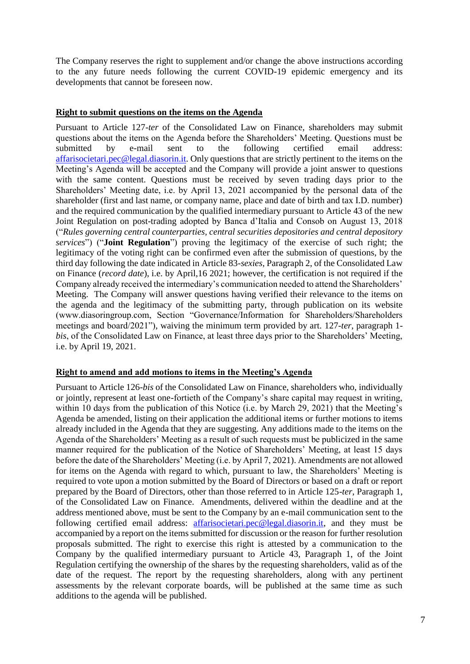The Company reserves the right to supplement and/or change the above instructions according to the any future needs following the current COVID-19 epidemic emergency and its developments that cannot be foreseen now.

#### **Right to submit questions on the items on the Agenda**

Pursuant to Article 127*-ter* of the Consolidated Law on Finance, shareholders may submit questions about the items on the Agenda before the Shareholders' Meeting. Questions must be submitted by e-mail sent to the following certified email address: [affarisocietari.pec@legal.diasorin.it.](mailto:affarisocietari@diasorin.it) Only questions that are strictly pertinent to the items on the Meeting's Agenda will be accepted and the Company will provide a joint answer to questions with the same content. Questions must be received by seven trading days prior to the Shareholders' Meeting date, i.e. by April 13, 2021 accompanied by the personal data of the shareholder (first and last name, or company name, place and date of birth and tax I.D. number) and the required communication by the qualified intermediary pursuant to Article 43 of the new Joint Regulation on post-trading adopted by Banca d'Italia and Consob on August 13, 2018 ("*Rules governing central counterparties, central securities depositories and central depository services*") ("**Joint Regulation**") proving the legitimacy of the exercise of such right; the legitimacy of the voting right can be confirmed even after the submission of questions, by the third day following the date indicated in Article 83-*sexies*, Paragraph 2, of the Consolidated Law on Finance (*record date*), i.e. by April,16 2021; however, the certification is not required if the Company already received the intermediary's communication needed to attend the Shareholders' Meeting. The Company will answer questions having verified their relevance to the items on the agenda and the legitimacy of the submitting party, through publication on its website (www.diasoringroup.com, Section "Governance/Information for Shareholders/Shareholders meetings and board/2021"), waiving the minimum term provided by art. 127-*ter*, paragraph 1 *bis*, of the Consolidated Law on Finance, at least three days prior to the Shareholders' Meeting, i.e. by April 19, 2021.

#### **Right to amend and add motions to items in the Meeting's Agenda**

Pursuant to Article 126-*bis* of the Consolidated Law on Finance, shareholders who, individually or jointly, represent at least one-fortieth of the Company's share capital may request in writing, within 10 days from the publication of this Notice (i.e. by March 29, 2021) that the Meeting's Agenda be amended, listing on their application the additional items or further motions to items already included in the Agenda that they are suggesting. Any additions made to the items on the Agenda of the Shareholders' Meeting as a result of such requests must be publicized in the same manner required for the publication of the Notice of Shareholders' Meeting, at least 15 days before the date of the Shareholders' Meeting (i.e. by April 7, 2021). Amendments are not allowed for items on the Agenda with regard to which, pursuant to law, the Shareholders' Meeting is required to vote upon a motion submitted by the Board of Directors or based on a draft or report prepared by the Board of Directors, other than those referred to in Article 125-*ter*, Paragraph 1, of the Consolidated Law on Finance. Amendments, delivered within the deadline and at the address mentioned above, must be sent to the Company by an e-mail communication sent to the following certified email address: [affarisocietari.pec@legal.diasorin.it,](mailto:affarisocietari@diasorin.it) and they must be accompanied by a report on the items submitted for discussion or the reason for further resolution proposals submitted. The right to exercise this right is attested by a communication to the Company by the qualified intermediary pursuant to Article 43, Paragraph 1, of the Joint Regulation certifying the ownership of the shares by the requesting shareholders, valid as of the date of the request. The report by the requesting shareholders, along with any pertinent assessments by the relevant corporate boards, will be published at the same time as such additions to the agenda will be published.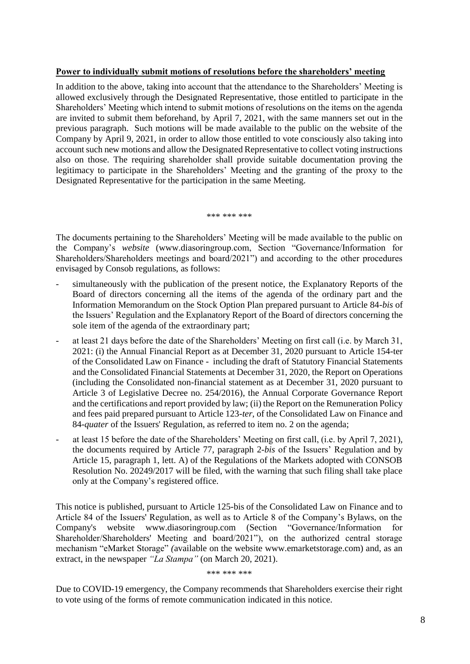#### **Power to individually submit motions of resolutions before the shareholders' meeting**

In addition to the above, taking into account that the attendance to the Shareholders' Meeting is allowed exclusively through the Designated Representative, those entitled to participate in the Shareholders' Meeting which intend to submit motions of resolutions on the items on the agenda are invited to submit them beforehand, by April 7, 2021, with the same manners set out in the previous paragraph. Such motions will be made available to the public on the website of the Company by April 9, 2021, in order to allow those entitled to vote consciously also taking into account such new motions and allow the Designated Representative to collect voting instructions also on those. The requiring shareholder shall provide suitable documentation proving the legitimacy to participate in the Shareholders' Meeting and the granting of the proxy to the Designated Representative for the participation in the same Meeting.

\*\*\* \*\*\* \*\*\*

The documents pertaining to the Shareholders' Meeting will be made available to the public on the Company's *website* (www.diasoringroup.com, Section "Governance/Information for Shareholders/Shareholders meetings and board/2021") and according to the other procedures envisaged by Consob regulations, as follows:

- simultaneously with the publication of the present notice, the Explanatory Reports of the Board of directors concerning all the items of the agenda of the ordinary part and the Information Memorandum on the Stock Option Plan prepared pursuant to Article 84-*bis* of the Issuers' Regulation and the Explanatory Report of the Board of directors concerning the sole item of the agenda of the extraordinary part;
- at least 21 days before the date of the Shareholders' Meeting on first call (i.e. by March 31, 2021: (i) the Annual Financial Report as at December 31, 2020 pursuant to Article 154-ter of the Consolidated Law on Finance - including the draft of Statutory Financial Statements and the Consolidated Financial Statements at December 31, 2020, the Report on Operations (including the Consolidated non-financial statement as at December 31, 2020 pursuant to Article 3 of Legislative Decree no. 254/2016), the Annual Corporate Governance Report and the certifications and report provided by law; (ii) the Report on the Remuneration Policy and fees paid prepared pursuant to Article 123-*ter*, of the Consolidated Law on Finance and 84-*quater* of the Issuers' Regulation, as referred to item no. 2 on the agenda;
- at least 15 before the date of the Shareholders' Meeting on first call, (i.e. by April 7, 2021), the documents required by Article 77, paragraph 2-*bis* of the Issuers' Regulation and by Article 15, paragraph 1, lett. A) of the Regulations of the Markets adopted with CONSOB Resolution No. 20249/2017 will be filed, with the warning that such filing shall take place only at the Company's registered office.

This notice is published, pursuant to Article 125-bis of the Consolidated Law on Finance and to Article 84 of the Issuers' Regulation, as well as to Article 8 of the Company's Bylaws, on the Company's website www.diasoringroup.com (Section "Governance/Information for Shareholder/Shareholders' Meeting and board/2021"), on the authorized central storage mechanism "eMarket Storage" *(*available on the website www.emarketstorage.com) and, as an extract, in the newspaper *"La Stampa"* (on March 20, 2021).

\*\*\* \*\*\* \*\*\*

Due to COVID-19 emergency, the Company recommends that Shareholders exercise their right to vote using of the forms of remote communication indicated in this notice.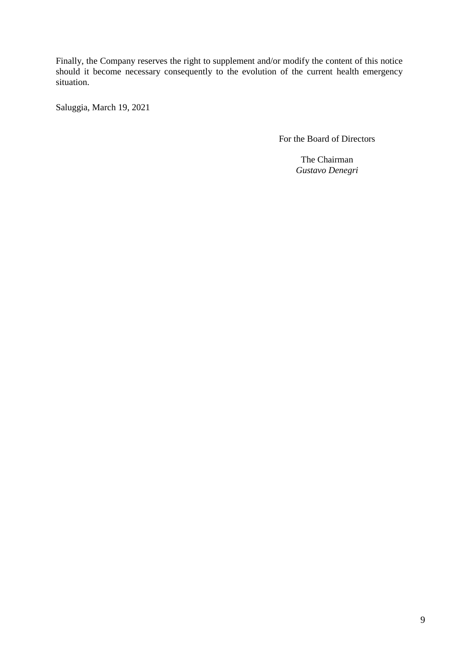Finally, the Company reserves the right to supplement and/or modify the content of this notice should it become necessary consequently to the evolution of the current health emergency situation.

Saluggia, March 19, 2021

For the Board of Directors

The Chairman *Gustavo Denegri*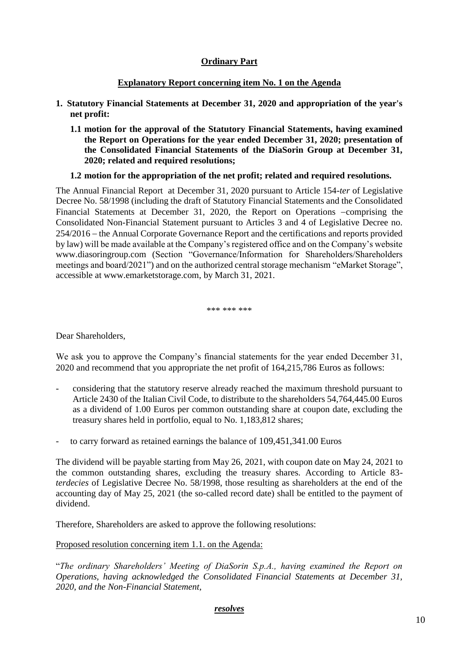#### **Ordinary Part**

#### **Explanatory Report concerning item No. 1 on the Agenda**

- <span id="page-9-1"></span><span id="page-9-0"></span>**1. Statutory Financial Statements at December 31, 2020 and appropriation of the year's net profit:**
	- **1.1 motion for the approval of the Statutory Financial Statements, having examined the Report on Operations for the year ended December 31, 2020; presentation of the Consolidated Financial Statements of the DiaSorin Group at December 31, 2020; related and required resolutions;**

#### **1.2 motion for the appropriation of the net profit; related and required resolutions.**

The Annual Financial Report at December 31, 2020 pursuant to Article 154-*ter* of Legislative Decree No. 58/1998 (including the draft of Statutory Financial Statements and the Consolidated Financial Statements at December 31, 2020, the Report on Operations -comprising the Consolidated Non-Financial Statement pursuant to Articles 3 and 4 of Legislative Decree no. 254/2016 the Annual Corporate Governance Report and the certifications and reports provided by law) will be made available at the Company's registered office and on the Company's website www.diasoringroup.com (Section "Governance/Information for Shareholders/Shareholders meetings and board/2021") and on the authorized central storage mechanism "eMarket Storage", accessible at www.emarketstorage.com, by March 31, 2021.

\*\*\* \*\*\* \*\*\*

Dear Shareholders,

We ask you to approve the Company's financial statements for the year ended December 31, 2020 and recommend that you appropriate the net profit of 164,215,786 Euros as follows:

- considering that the statutory reserve already reached the maximum threshold pursuant to Article 2430 of the Italian Civil Code, to distribute to the shareholders 54,764,445.00 Euros as a dividend of 1.00 Euros per common outstanding share at coupon date, excluding the treasury shares held in portfolio, equal to No. 1,183,812 shares;
- to carry forward as retained earnings the balance of 109,451,341.00 Euros

The dividend will be payable starting from May 26, 2021, with coupon date on May 24, 2021 to the common outstanding shares, excluding the treasury shares. According to Article 83 *terdecies* of Legislative Decree No. 58/1998, those resulting as shareholders at the end of the accounting day of May 25, 2021 (the so-called record date) shall be entitled to the payment of dividend.

Therefore, Shareholders are asked to approve the following resolutions:

Proposed resolution concerning item 1.1. on the Agenda:

"*The ordinary Shareholders' Meeting of DiaSorin S.p.A., having examined the Report on Operations, having acknowledged the Consolidated Financial Statements at December 31, 2020, and the Non-Financial Statement,*

#### *resolves*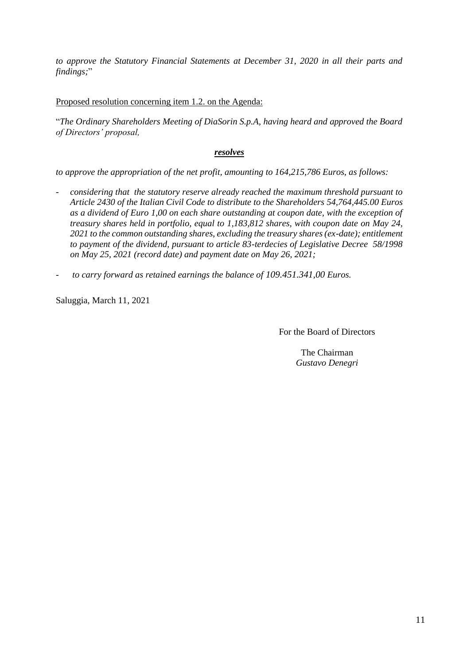*to approve the Statutory Financial Statements at December 31, 2020 in all their parts and findings;*"

Proposed resolution concerning item 1.2. on the Agenda:

"*The Ordinary Shareholders Meeting of DiaSorin S.p.A, having heard and approved the Board of Directors' proposal,*

#### *resolves*

*to approve the appropriation of the net profit, amounting to 164,215,786 Euros, as follows:*

- *considering that the statutory reserve already reached the maximum threshold pursuant to Article 2430 of the Italian Civil Code to distribute to the Shareholders 54,764,445.00 Euros as a dividend of Euro 1,00 on each share outstanding at coupon date, with the exception of treasury shares held in portfolio, equal to 1,183,812 shares, with coupon date on May 24, 2021 to the common outstanding shares, excluding the treasury shares (ex-date); entitlement to payment of the dividend, pursuant to article 83-terdecies of Legislative Decree 58/1998 on May 25, 2021 (record date) and payment date on May 26, 2021;*
- *to carry forward as retained earnings the balance of 109.451.341,00 Euros.*

Saluggia, March 11, 2021

For the Board of Directors

The Chairman *Gustavo Denegri*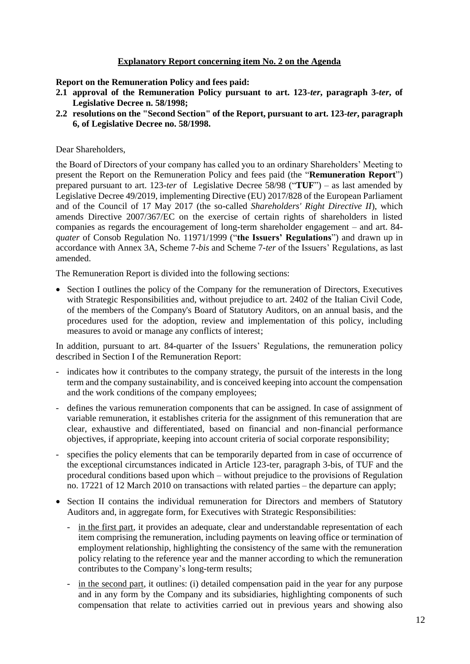#### **Explanatory Report concerning item No. 2 on the Agenda**

<span id="page-11-0"></span>**Report on the Remuneration Policy and fees paid:**

- **2.1 approval of the Remuneration Policy pursuant to art. 123-***ter***, paragraph 3-***ter***, of Legislative Decree n. 58/1998;**
- **2.2 resolutions on the "Second Section" of the Report, pursuant to art. 123-***ter***, paragraph 6, of Legislative Decree no. 58/1998.**

#### Dear Shareholders,

the Board of Directors of your company has called you to an ordinary Shareholders' Meeting to present the Report on the Remuneration Policy and fees paid (the "**Remuneration Report**") prepared pursuant to art. 123-*ter* of Legislative Decree 58/98 ("**TUF**") – as last amended by Legislative Decree 49/2019, implementing Directive (EU) 2017/828 of the European Parliament and of the Council of 17 May 2017 (the so-called *Shareholders' Right Directive II*), which amends Directive 2007/367/EC on the exercise of certain rights of shareholders in listed companies as regards the encouragement of long-term shareholder engagement – and art. 84 *quater* of Consob Regulation No. 11971/1999 ("**the Issuers' Regulations**") and drawn up in accordance with Annex 3A, Scheme 7-*bis* and Scheme 7-*ter* of the Issuers' Regulations, as last amended.

The Remuneration Report is divided into the following sections:

• Section I outlines the policy of the Company for the remuneration of Directors, Executives with Strategic Responsibilities and, without prejudice to art. 2402 of the Italian Civil Code, of the members of the Company's Board of Statutory Auditors, on an annual basis, and the procedures used for the adoption, review and implementation of this policy, including measures to avoid or manage any conflicts of interest;

In addition, pursuant to art. 84-quarter of the Issuers' Regulations, the remuneration policy described in Section I of the Remuneration Report:

- indicates how it contributes to the company strategy, the pursuit of the interests in the long term and the company sustainability, and is conceived keeping into account the compensation and the work conditions of the company employees;
- defines the various remuneration components that can be assigned. In case of assignment of variable remuneration, it establishes criteria for the assignment of this remuneration that are clear, exhaustive and differentiated, based on financial and non-financial performance objectives, if appropriate, keeping into account criteria of social corporate responsibility;
- specifies the policy elements that can be temporarily departed from in case of occurrence of the exceptional circumstances indicated in Article 123-ter, paragraph 3-bis, of TUF and the procedural conditions based upon which – without prejudice to the provisions of Regulation no. 17221 of 12 March 2010 on transactions with related parties – the departure can apply;
- Section II contains the individual remuneration for Directors and members of Statutory Auditors and, in aggregate form, for Executives with Strategic Responsibilities:
	- in the first part, it provides an adequate, clear and understandable representation of each item comprising the remuneration, including payments on leaving office or termination of employment relationship, highlighting the consistency of the same with the remuneration policy relating to the reference year and the manner according to which the remuneration contributes to the Company's long-term results;
	- in the second part, it outlines: (i) detailed compensation paid in the year for any purpose and in any form by the Company and its subsidiaries, highlighting components of such compensation that relate to activities carried out in previous years and showing also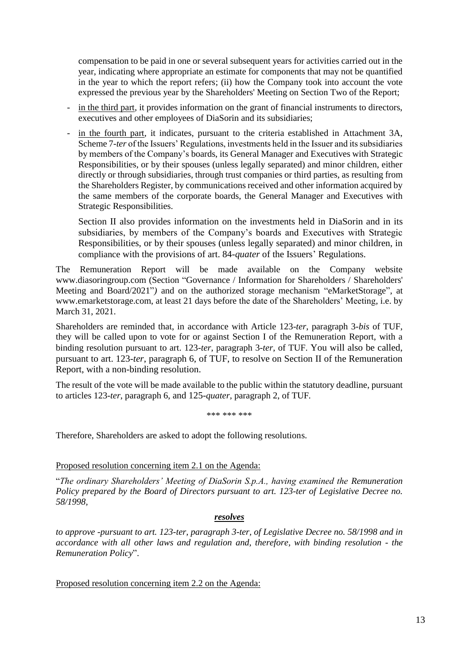compensation to be paid in one or several subsequent years for activities carried out in the year, indicating where appropriate an estimate for components that may not be quantified in the year to which the report refers; (ii) how the Company took into account the vote expressed the previous year by the Shareholders' Meeting on Section Two of the Report;

- in the third part, it provides information on the grant of financial instruments to directors, executives and other employees of DiaSorin and its subsidiaries;
- in the fourth part, it indicates, pursuant to the criteria established in Attachment 3A, Scheme 7-*ter* of the Issuers' Regulations, investments held in the Issuer and its subsidiaries by members of the Company's boards, its General Manager and Executives with Strategic Responsibilities, or by their spouses (unless legally separated) and minor children, either directly or through subsidiaries, through trust companies or third parties, as resulting from the Shareholders Register, by communications received and other information acquired by the same members of the corporate boards, the General Manager and Executives with Strategic Responsibilities.

Section II also provides information on the investments held in DiaSorin and in its subsidiaries, by members of the Company's boards and Executives with Strategic Responsibilities, or by their spouses (unless legally separated) and minor children, in compliance with the provisions of art. 84-*quater* of the Issuers' Regulations.

The Remuneration Report will be made available on the Company website www.diasoringroup.com (Section "Governance / Information for Shareholders / Shareholders' Meeting and Board/2021"*)* and on the authorized storage mechanism "eMarketStorage", at www.emarketstorage.com, at least 21 days before the date of the Shareholders' Meeting, i.e. by March 31, 2021.

Shareholders are reminded that, in accordance with Article 123-*ter*, paragraph 3-*bis* of TUF, they will be called upon to vote for or against Section I of the Remuneration Report, with a binding resolution pursuant to art. 123-*ter*, paragraph 3-*ter*, of TUF. You will also be called, pursuant to art. 123-*ter*, paragraph 6, of TUF, to resolve on Section II of the Remuneration Report, with a non-binding resolution.

The result of the vote will be made available to the public within the statutory deadline, pursuant to articles 123-*ter*, paragraph 6, and 125-*quater,* paragraph 2, of TUF*.*

\*\*\* \*\*\* \*\*\*

Therefore, Shareholders are asked to adopt the following resolutions.

#### Proposed resolution concerning item 2.1 on the Agenda:

"*The ordinary Shareholders' Meeting of DiaSorin S.p.A., having examined the Remuneration Policy prepared by the Board of Directors pursuant to art. 123-ter of Legislative Decree no. 58/1998,* 

#### *resolves*

*to approve -pursuant to art. 123-ter, paragraph 3-ter, of Legislative Decree no. 58/1998 and in accordance with all other laws and regulation and, therefore, with binding resolution - the Remuneration Policy*".

Proposed resolution concerning item 2.2 on the Agenda: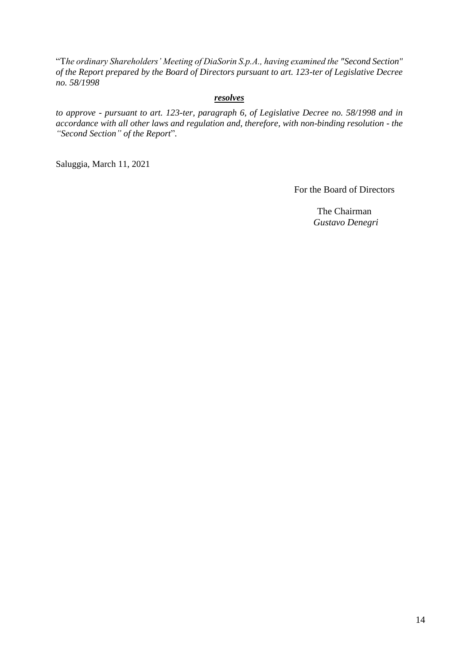"T*he ordinary Shareholders' Meeting of DiaSorin S.p.A., having examined the "Second Section" of the Report prepared by the Board of Directors pursuant to art. 123-ter of Legislative Decree no. 58/1998*

#### *resolves*

*to approve - pursuant to art. 123-ter, paragraph 6, of Legislative Decree no. 58/1998 and in accordance with all other laws and regulation and, therefore, with non-binding resolution - the "Second Section" of the Report*"*.*

Saluggia, March 11, 2021

For the Board of Directors

The Chairman  *Gustavo Denegri*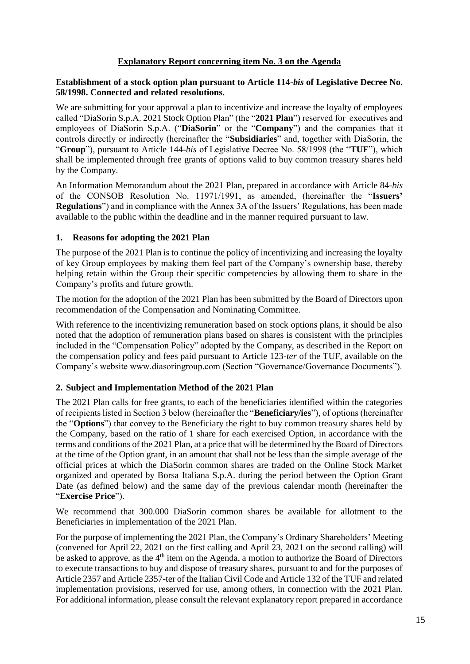#### **Explanatory Report concerning item No. 3 on the Agenda**

#### <span id="page-14-0"></span>**Establishment of a stock option plan pursuant to Article 114-***bis* **of Legislative Decree No. 58/1998. Connected and related resolutions.**

We are submitting for your approval a plan to incentivize and increase the loyalty of employees called "DiaSorin S.p.A. 2021 Stock Option Plan" (the "**2021 Plan**") reserved for executives and employees of DiaSorin S.p.A. ("**DiaSorin**" or the "**Company**") and the companies that it controls directly or indirectly (hereinafter the "**Subsidiaries**" and, together with DiaSorin, the "**Group**"), pursuant to Article 144-*bis* of Legislative Decree No. 58/1998 (the "**TUF**"), which shall be implemented through free grants of options valid to buy common treasury shares held by the Company.

An Information Memorandum about the 2021 Plan, prepared in accordance with Article 84-*bis*  of the CONSOB Resolution No. 11971/1991, as amended, (hereinafter the "**Issuers' Regulations**") and in compliance with the Annex 3A of the Issuers' Regulations, has been made available to the public within the deadline and in the manner required pursuant to law.

#### **1. Reasons for adopting the 2021 Plan**

The purpose of the 2021 Plan is to continue the policy of incentivizing and increasing the loyalty of key Group employees by making them feel part of the Company's ownership base, thereby helping retain within the Group their specific competencies by allowing them to share in the Company's profits and future growth.

The motion for the adoption of the 2021 Plan has been submitted by the Board of Directors upon recommendation of the Compensation and Nominating Committee.

With reference to the incentivizing remuneration based on stock options plans, it should be also noted that the adoption of remuneration plans based on shares is consistent with the principles included in the "Compensation Policy" adopted by the Company, as described in the Report on the compensation policy and fees paid pursuant to Article 123-*ter* of the TUF, available on the Company's website www.diasoringroup.com (Section "Governance/Governance Documents").

#### **2. Subject and Implementation Method of the 2021 Plan**

The 2021 Plan calls for free grants, to each of the beneficiaries identified within the categories of recipients listed in Section 3 below (hereinafter the "**Beneficiary/ies**"), of options (hereinafter the "**Options**") that convey to the Beneficiary the right to buy common treasury shares held by the Company, based on the ratio of 1 share for each exercised Option, in accordance with the terms and conditions of the 2021 Plan, at a price that will be determined by the Board of Directors at the time of the Option grant, in an amount that shall not be less than the simple average of the official prices at which the DiaSorin common shares are traded on the Online Stock Market organized and operated by Borsa Italiana S.p.A. during the period between the Option Grant Date (as defined below) and the same day of the previous calendar month (hereinafter the "**Exercise Price**").

We recommend that 300.000 DiaSorin common shares be available for allotment to the Beneficiaries in implementation of the 2021 Plan.

For the purpose of implementing the 2021 Plan, the Company's Ordinary Shareholders' Meeting (convened for April 22, 2021 on the first calling and April 23, 2021 on the second calling) will be asked to approve, as the 4<sup>th</sup> item on the Agenda, a motion to authorize the Board of Directors to execute transactions to buy and dispose of treasury shares, pursuant to and for the purposes of Article 2357 and Article 2357-ter of the Italian Civil Code and Article 132 of the TUF and related implementation provisions, reserved for use, among others, in connection with the 2021 Plan. For additional information, please consult the relevant explanatory report prepared in accordance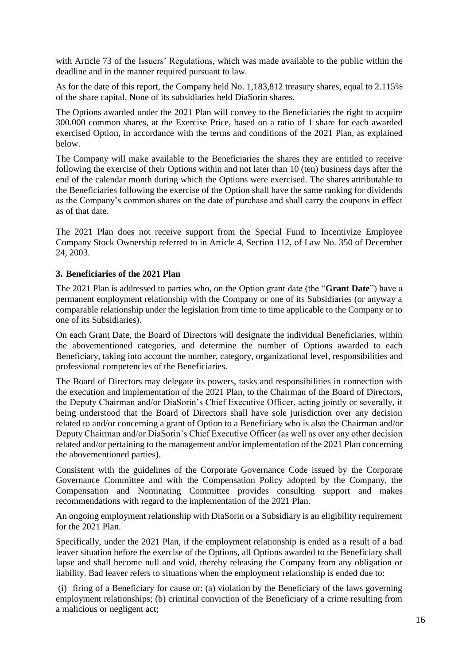with Article 73 of the Issuers' Regulations, which was made available to the public within the deadline and in the manner required pursuant to law.

As for the date of this report, the Company held No. 1,183,812 treasury shares, equal to 2.115% of the share capital. None of its subsidiaries held DiaSorin shares.

The Options awarded under the 2021 Plan will convey to the Beneficiaries the right to acquire 300.000 common shares, at the Exercise Price, based on a ratio of 1 share for each awarded exercised Option, in accordance with the terms and conditions of the 2021 Plan, as explained below.

The Company will make available to the Beneficiaries the shares they are entitled to receive following the exercise of their Options within and not later than 10 (ten) business days after the end of the calendar month during which the Options were exercised. The shares attributable to the Beneficiaries following the exercise of the Option shall have the same ranking for dividends as the Company's common shares on the date of purchase and shall carry the coupons in effect as of that date.

The 2021 Plan does not receive support from the Special Fund to Incentivize Employee Company Stock Ownership referred to in Article 4, Section 112, of Law No. 350 of December 24, 2003.

#### **3. Beneficiaries of the 2021 Plan**

The 2021 Plan is addressed to parties who, on the Option grant date (the "**Grant Date**") have a permanent employment relationship with the Company or one of its Subsidiaries (or anyway a comparable relationship under the legislation from time to time applicable to the Company or to one of its Subsidiaries).

On each Grant Date, the Board of Directors will designate the individual Beneficiaries, within the abovementioned categories, and determine the number of Options awarded to each Beneficiary, taking into account the number, category, organizational level, responsibilities and professional competencies of the Beneficiaries.

The Board of Directors may delegate its powers, tasks and responsibilities in connection with the execution and implementation of the 2021 Plan, to the Chairman of the Board of Directors, the Deputy Chairman and/or DiaSorin's Chief Executive Officer, acting jointly or severally, it being understood that the Board of Directors shall have sole jurisdiction over any decision related to and/or concerning a grant of Option to a Beneficiary who is also the Chairman and/or Deputy Chairman and/or DiaSorin's Chief Executive Officer (as well as over any other decision related and/or pertaining to the management and/or implementation of the 2021 Plan concerning the abovementioned parties).

Consistent with the guidelines of the Corporate Governance Code issued by the Corporate Governance Committee and with the Compensation Policy adopted by the Company, the Compensation and Nominating Committee provides consulting support and makes recommendations with regard to the implementation of the 2021 Plan.

An ongoing employment relationship with DiaSorin or a Subsidiary is an eligibility requirement for the 2021 Plan.

Specifically, under the 2021 Plan, if the employment relationship is ended as a result of a bad leaver situation before the exercise of the Options, all Options awarded to the Beneficiary shall lapse and shall become null and void, thereby releasing the Company from any obligation or liability. Bad leaver refers to situations when the employment relationship is ended due to:

(i) firing of a Beneficiary for cause or: (a) violation by the Beneficiary of the laws governing employment relationships; (b) criminal conviction of the Beneficiary of a crime resulting from a malicious or negligent act;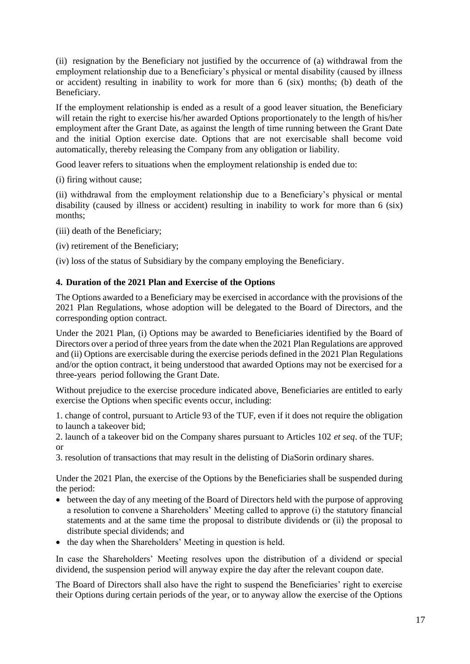(ii) resignation by the Beneficiary not justified by the occurrence of (a) withdrawal from the employment relationship due to a Beneficiary's physical or mental disability (caused by illness or accident) resulting in inability to work for more than 6 (six) months; (b) death of the Beneficiary.

If the employment relationship is ended as a result of a good leaver situation, the Beneficiary will retain the right to exercise his/her awarded Options proportionately to the length of his/her employment after the Grant Date, as against the length of time running between the Grant Date and the initial Option exercise date. Options that are not exercisable shall become void automatically, thereby releasing the Company from any obligation or liability.

Good leaver refers to situations when the employment relationship is ended due to:

(i) firing without cause;

(ii) withdrawal from the employment relationship due to a Beneficiary's physical or mental disability (caused by illness or accident) resulting in inability to work for more than 6 (six) months;

(iii) death of the Beneficiary;

(iv) retirement of the Beneficiary;

(iv) loss of the status of Subsidiary by the company employing the Beneficiary.

#### **4. Duration of the 2021 Plan and Exercise of the Options**

The Options awarded to a Beneficiary may be exercised in accordance with the provisions of the 2021 Plan Regulations, whose adoption will be delegated to the Board of Directors, and the corresponding option contract.

Under the 2021 Plan, (i) Options may be awarded to Beneficiaries identified by the Board of Directors over a period of three years from the date when the 2021 Plan Regulations are approved and (ii) Options are exercisable during the exercise periods defined in the 2021 Plan Regulations and/or the option contract, it being understood that awarded Options may not be exercised for a three-years period following the Grant Date.

Without prejudice to the exercise procedure indicated above, Beneficiaries are entitled to early exercise the Options when specific events occur, including:

1. change of control, pursuant to Article 93 of the TUF, even if it does not require the obligation to launch a takeover bid;

2. launch of a takeover bid on the Company shares pursuant to Articles 102 *et seq*. of the TUF; or

3. resolution of transactions that may result in the delisting of DiaSorin ordinary shares.

Under the 2021 Plan, the exercise of the Options by the Beneficiaries shall be suspended during the period:

- between the day of any meeting of the Board of Directors held with the purpose of approving a resolution to convene a Shareholders' Meeting called to approve (i) the statutory financial statements and at the same time the proposal to distribute dividends or (ii) the proposal to distribute special dividends; and
- the day when the Shareholders' Meeting in question is held.

In case the Shareholders' Meeting resolves upon the distribution of a dividend or special dividend, the suspension period will anyway expire the day after the relevant coupon date.

The Board of Directors shall also have the right to suspend the Beneficiaries' right to exercise their Options during certain periods of the year, or to anyway allow the exercise of the Options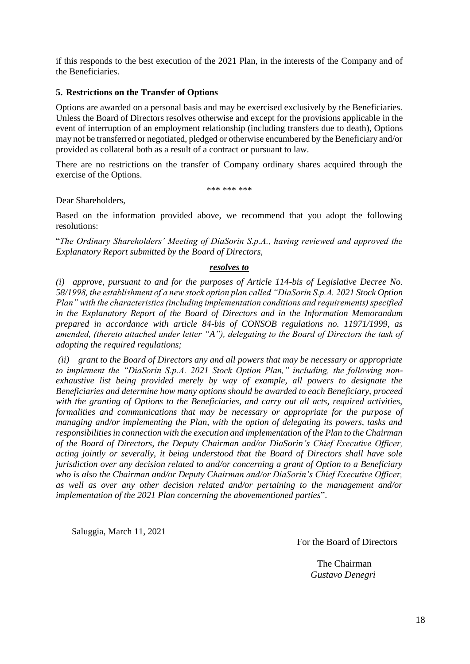if this responds to the best execution of the 2021 Plan, in the interests of the Company and of the Beneficiaries.

#### **5. Restrictions on the Transfer of Options**

Options are awarded on a personal basis and may be exercised exclusively by the Beneficiaries. Unless the Board of Directors resolves otherwise and except for the provisions applicable in the event of interruption of an employment relationship (including transfers due to death), Options may not be transferred or negotiated, pledged or otherwise encumbered by the Beneficiary and/or provided as collateral both as a result of a contract or pursuant to law.

There are no restrictions on the transfer of Company ordinary shares acquired through the exercise of the Options.

\*\*\* \*\*\* \*\*\*

Dear Shareholders,

Based on the information provided above, we recommend that you adopt the following resolutions:

"*The Ordinary Shareholders' Meeting of DiaSorin S.p.A., having reviewed and approved the Explanatory Report submitted by the Board of Directors,*

#### *resolves to*

*(i) approve, pursuant to and for the purposes of Article 114-bis of Legislative Decree No. 58/1998, the establishment of a new stock option plan called "DiaSorin S.p.A. 2021 Stock Option Plan" with the characteristics (including implementation conditions and requirements) specified in the Explanatory Report of the Board of Directors and in the Information Memorandum prepared in accordance with article 84-bis of CONSOB regulations no. 11971/1999, as amended, (thereto attached under letter "A"), delegating to the Board of Directors the task of adopting the required regulations;*

*(ii) grant to the Board of Directors any and all powers that may be necessary or appropriate to implement the "DiaSorin S.p.A. 2021 Stock Option Plan," including, the following nonexhaustive list being provided merely by way of example, all powers to designate the Beneficiaries and determine how many options should be awarded to each Beneficiary, proceed with the granting of Options to the Beneficiaries, and carry out all acts, required activities, formalities and communications that may be necessary or appropriate for the purpose of managing and/or implementing the Plan, with the option of delegating its powers, tasks and responsibilities in connection with the execution and implementation of the Plan to the Chairman of the Board of Directors, the Deputy Chairman and/or DiaSorin's Chief Executive Officer, acting jointly or severally, it being understood that the Board of Directors shall have sole jurisdiction over any decision related to and/or concerning a grant of Option to a Beneficiary who is also the Chairman and/or Deputy Chairman and/or DiaSorin's Chief Executive Officer, as well as over any other decision related and/or pertaining to the management and/or implementation of the 2021 Plan concerning the abovementioned parties*".

Saluggia, March 11, 2021

For the Board of Directors

The Chairman  *Gustavo Denegri*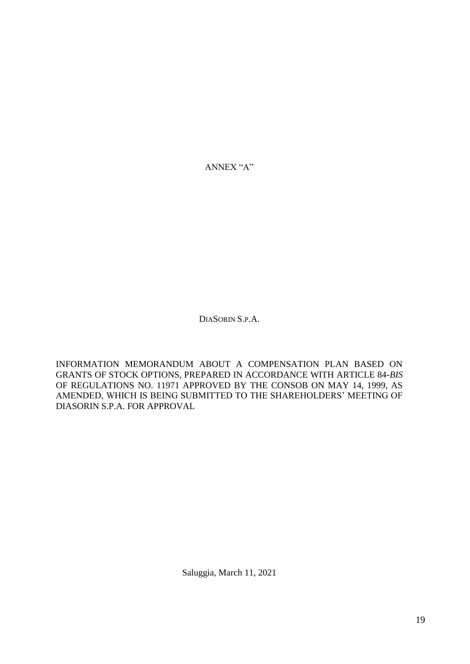ANNEX "A"

DIASORIN S.P.A.

INFORMATION MEMORANDUM ABOUT A COMPENSATION PLAN BASED ON GRANTS OF STOCK OPTIONS, PREPARED IN ACCORDANCE WITH ARTICLE 84-*BIS*  OF REGULATIONS NO. 11971 APPROVED BY THE CONSOB ON MAY 14, 1999, AS AMENDED, WHICH IS BEING SUBMITTED TO THE SHAREHOLDERS' MEETING OF DIASORIN S.P.A. FOR APPROVAL

Saluggia, March 11, 2021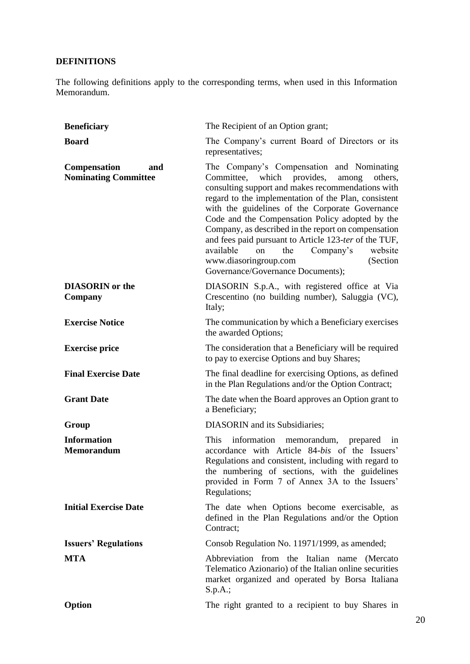# **DEFINITIONS**

The following definitions apply to the corresponding terms, when used in this Information Memorandum.

| <b>Beneficiary</b>                                        | The Recipient of an Option grant;                                                                                                                                                                                                                                                                                                                                                                                                                                                                                                                             |
|-----------------------------------------------------------|---------------------------------------------------------------------------------------------------------------------------------------------------------------------------------------------------------------------------------------------------------------------------------------------------------------------------------------------------------------------------------------------------------------------------------------------------------------------------------------------------------------------------------------------------------------|
| <b>Board</b>                                              | The Company's current Board of Directors or its<br>representatives;                                                                                                                                                                                                                                                                                                                                                                                                                                                                                           |
| <b>Compensation</b><br>and<br><b>Nominating Committee</b> | The Company's Compensation and Nominating<br>which provides,<br>Committee,<br>among<br>others.<br>consulting support and makes recommendations with<br>regard to the implementation of the Plan, consistent<br>with the guidelines of the Corporate Governance<br>Code and the Compensation Policy adopted by the<br>Company, as described in the report on compensation<br>and fees paid pursuant to Article 123-ter of the TUF,<br>available<br>the<br>Company's<br>on<br>website<br>www.diasoringroup.com<br>(Section<br>Governance/Governance Documents); |
| <b>DIASORIN</b> or the<br>Company                         | DIASORIN S.p.A., with registered office at Via<br>Crescentino (no building number), Saluggia (VC),<br>Italy;                                                                                                                                                                                                                                                                                                                                                                                                                                                  |
| <b>Exercise Notice</b>                                    | The communication by which a Beneficiary exercises<br>the awarded Options;                                                                                                                                                                                                                                                                                                                                                                                                                                                                                    |
| <b>Exercise price</b>                                     | The consideration that a Beneficiary will be required<br>to pay to exercise Options and buy Shares;                                                                                                                                                                                                                                                                                                                                                                                                                                                           |
| <b>Final Exercise Date</b>                                | The final deadline for exercising Options, as defined<br>in the Plan Regulations and/or the Option Contract;                                                                                                                                                                                                                                                                                                                                                                                                                                                  |
| <b>Grant Date</b>                                         | The date when the Board approves an Option grant to<br>a Beneficiary;                                                                                                                                                                                                                                                                                                                                                                                                                                                                                         |
| Group                                                     | DIASORIN and its Subsidiaries;                                                                                                                                                                                                                                                                                                                                                                                                                                                                                                                                |
| <b>Information</b><br><b>Memorandum</b>                   | information memorandum,<br>This<br>prepared<br>in<br>accordance with Article 84-bis of the Issuers'<br>Regulations and consistent, including with regard to<br>the numbering of sections, with the guidelines<br>provided in Form 7 of Annex 3A to the Issuers'<br>Regulations;                                                                                                                                                                                                                                                                               |
| <b>Initial Exercise Date</b>                              | The date when Options become exercisable, as<br>defined in the Plan Regulations and/or the Option<br>Contract;                                                                                                                                                                                                                                                                                                                                                                                                                                                |
| <b>Issuers' Regulations</b>                               | Consob Regulation No. 11971/1999, as amended;                                                                                                                                                                                                                                                                                                                                                                                                                                                                                                                 |
| <b>MTA</b>                                                | Abbreviation from the Italian name (Mercato<br>Telematico Azionario) of the Italian online securities<br>market organized and operated by Borsa Italiana<br>S.p.A.;                                                                                                                                                                                                                                                                                                                                                                                           |
| Option                                                    | The right granted to a recipient to buy Shares in                                                                                                                                                                                                                                                                                                                                                                                                                                                                                                             |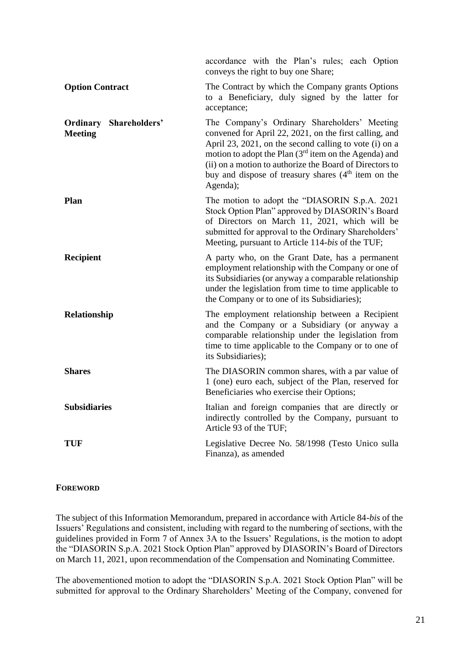|                                                 | accordance with the Plan's rules; each Option<br>conveys the right to buy one Share;                                                                                                                                                                                                                                                                                  |
|-------------------------------------------------|-----------------------------------------------------------------------------------------------------------------------------------------------------------------------------------------------------------------------------------------------------------------------------------------------------------------------------------------------------------------------|
| <b>Option Contract</b>                          | The Contract by which the Company grants Options<br>to a Beneficiary, duly signed by the latter for<br>acceptance;                                                                                                                                                                                                                                                    |
| <b>Ordinary Shareholders'</b><br><b>Meeting</b> | The Company's Ordinary Shareholders' Meeting<br>convened for April 22, 2021, on the first calling, and<br>April 23, 2021, on the second calling to vote (i) on a<br>motion to adopt the Plan (3 <sup>rd</sup> item on the Agenda) and<br>(ii) on a motion to authorize the Board of Directors to<br>buy and dispose of treasury shares $(4th$ item on the<br>Agenda); |
| Plan                                            | The motion to adopt the "DIASORIN S.p.A. 2021<br>Stock Option Plan" approved by DIASORIN's Board<br>of Directors on March 11, 2021, which will be<br>submitted for approval to the Ordinary Shareholders'<br>Meeting, pursuant to Article 114-bis of the TUF;                                                                                                         |
| Recipient                                       | A party who, on the Grant Date, has a permanent<br>employment relationship with the Company or one of<br>its Subsidiaries (or anyway a comparable relationship<br>under the legislation from time to time applicable to<br>the Company or to one of its Subsidiaries);                                                                                                |
| Relationship                                    | The employment relationship between a Recipient<br>and the Company or a Subsidiary (or anyway a<br>comparable relationship under the legislation from<br>time to time applicable to the Company or to one of<br>its Subsidiaries);                                                                                                                                    |
| <b>Shares</b>                                   | The DIASORIN common shares, with a par value of<br>1 (one) euro each, subject of the Plan, reserved for<br>Beneficiaries who exercise their Options;                                                                                                                                                                                                                  |
| <b>Subsidiaries</b>                             | Italian and foreign companies that are directly or<br>indirectly controlled by the Company, pursuant to<br>Article 93 of the TUF;                                                                                                                                                                                                                                     |
| TUF                                             | Legislative Decree No. 58/1998 (Testo Unico sulla<br>Finanza), as amended                                                                                                                                                                                                                                                                                             |

#### **FOREWORD**

The subject of this Information Memorandum, prepared in accordance with Article 84-*bis* of the Issuers' Regulations and consistent, including with regard to the numbering of sections, with the guidelines provided in Form 7 of Annex 3A to the Issuers' Regulations, is the motion to adopt the "DIASORIN S.p.A. 2021 Stock Option Plan" approved by DIASORIN's Board of Directors on March 11, 2021, upon recommendation of the Compensation and Nominating Committee.

The abovementioned motion to adopt the "DIASORIN S.p.A. 2021 Stock Option Plan" will be submitted for approval to the Ordinary Shareholders' Meeting of the Company, convened for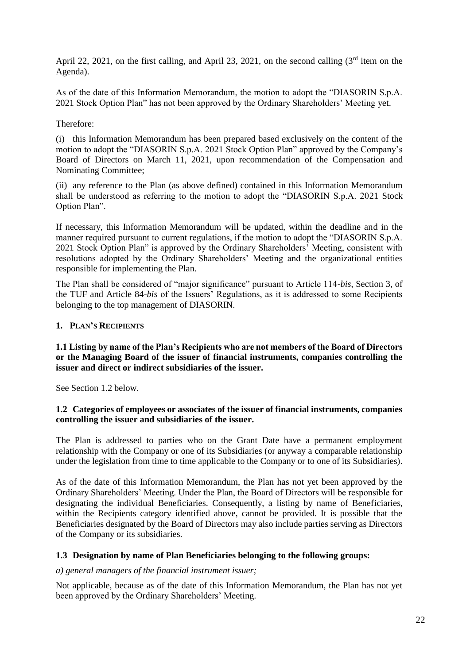April 22, 2021, on the first calling, and April 23, 2021, on the second calling  $(3<sup>rd</sup>$  item on the Agenda).

As of the date of this Information Memorandum, the motion to adopt the "DIASORIN S.p.A. 2021 Stock Option Plan" has not been approved by the Ordinary Shareholders' Meeting yet.

#### Therefore:

(i) this Information Memorandum has been prepared based exclusively on the content of the motion to adopt the "DIASORIN S.p.A. 2021 Stock Option Plan" approved by the Company's Board of Directors on March 11, 2021, upon recommendation of the Compensation and Nominating Committee;

(ii) any reference to the Plan (as above defined) contained in this Information Memorandum shall be understood as referring to the motion to adopt the "DIASORIN S.p.A. 2021 Stock Option Plan".

If necessary, this Information Memorandum will be updated, within the deadline and in the manner required pursuant to current regulations, if the motion to adopt the "DIASORIN S.p.A. 2021 Stock Option Plan" is approved by the Ordinary Shareholders' Meeting, consistent with resolutions adopted by the Ordinary Shareholders' Meeting and the organizational entities responsible for implementing the Plan.

The Plan shall be considered of "major significance" pursuant to Article 114-*bis*, Section 3, of the TUF and Article 84-*bis* of the Issuers' Regulations, as it is addressed to some Recipients belonging to the top management of DIASORIN.

#### **1. PLAN'S RECIPIENTS**

#### **1.1 Listing by name of the Plan's Recipients who are not members of the Board of Directors or the Managing Board of the issuer of financial instruments, companies controlling the issuer and direct or indirect subsidiaries of the issuer.**

See Section 1.2 below.

#### **1.2 Categories of employees or associates of the issuer of financial instruments, companies controlling the issuer and subsidiaries of the issuer.**

The Plan is addressed to parties who on the Grant Date have a permanent employment relationship with the Company or one of its Subsidiaries (or anyway a comparable relationship under the legislation from time to time applicable to the Company or to one of its Subsidiaries).

As of the date of this Information Memorandum, the Plan has not yet been approved by the Ordinary Shareholders' Meeting. Under the Plan, the Board of Directors will be responsible for designating the individual Beneficiaries. Consequently, a listing by name of Beneficiaries, within the Recipients category identified above, cannot be provided. It is possible that the Beneficiaries designated by the Board of Directors may also include parties serving as Directors of the Company or its subsidiaries.

#### **1.3 Designation by name of Plan Beneficiaries belonging to the following groups:**

#### *a) general managers of the financial instrument issuer;*

Not applicable, because as of the date of this Information Memorandum, the Plan has not yet been approved by the Ordinary Shareholders' Meeting.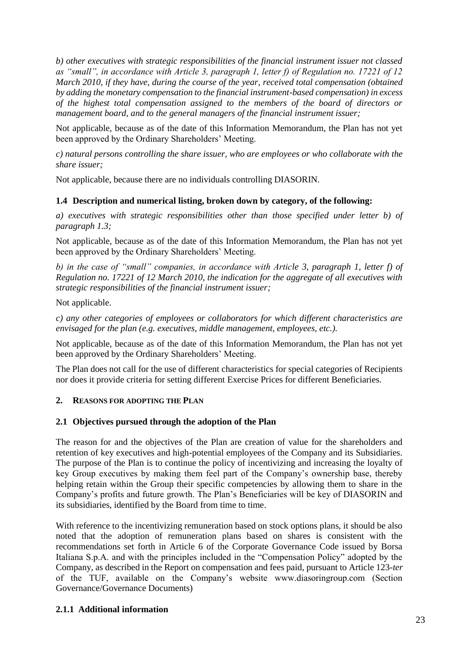*b) other executives with strategic responsibilities of the financial instrument issuer not classed as "small", in accordance with Article 3, paragraph 1, letter f) of Regulation no. 17221 of 12 March 2010, if they have, during the course of the year, received total compensation (obtained by adding the monetary compensation to the financial instrument-based compensation) in excess of the highest total compensation assigned to the members of the board of directors or management board, and to the general managers of the financial instrument issuer;*

Not applicable, because as of the date of this Information Memorandum, the Plan has not yet been approved by the Ordinary Shareholders' Meeting.

*c) natural persons controlling the share issuer, who are employees or who collaborate with the share issuer;*

Not applicable, because there are no individuals controlling DIASORIN.

#### **1.4 Description and numerical listing, broken down by category, of the following:**

*a) executives with strategic responsibilities other than those specified under letter b) of paragraph 1.3;*

Not applicable, because as of the date of this Information Memorandum, the Plan has not yet been approved by the Ordinary Shareholders' Meeting.

*b) in the case of "small" companies, in accordance with Article 3, paragraph 1, letter f) of Regulation no. 17221 of 12 March 2010, the indication for the aggregate of all executives with strategic responsibilities of the financial instrument issuer;*

Not applicable.

*c) any other categories of employees or collaborators for which different characteristics are envisaged for the plan (e.g. executives, middle management, employees, etc.).*

Not applicable, because as of the date of this Information Memorandum, the Plan has not yet been approved by the Ordinary Shareholders' Meeting.

The Plan does not call for the use of different characteristics for special categories of Recipients nor does it provide criteria for setting different Exercise Prices for different Beneficiaries.

#### **2. REASONS FOR ADOPTING THE PLAN**

#### **2.1 Objectives pursued through the adoption of the Plan**

The reason for and the objectives of the Plan are creation of value for the shareholders and retention of key executives and high-potential employees of the Company and its Subsidiaries. The purpose of the Plan is to continue the policy of incentivizing and increasing the loyalty of key Group executives by making them feel part of the Company's ownership base, thereby helping retain within the Group their specific competencies by allowing them to share in the Company's profits and future growth. The Plan's Beneficiaries will be key of DIASORIN and its subsidiaries, identified by the Board from time to time.

With reference to the incentivizing remuneration based on stock options plans, it should be also noted that the adoption of remuneration plans based on shares is consistent with the recommendations set forth in Article 6 of the Corporate Governance Code issued by Borsa Italiana S.p.A. and with the principles included in the "Compensation Policy" adopted by the Company, as described in the Report on compensation and fees paid, pursuant to Article 123-*ter* of the TUF, available on the Company's website www.diasoringroup.com (Section Governance/Governance Documents)

# **2.1.1 Additional information**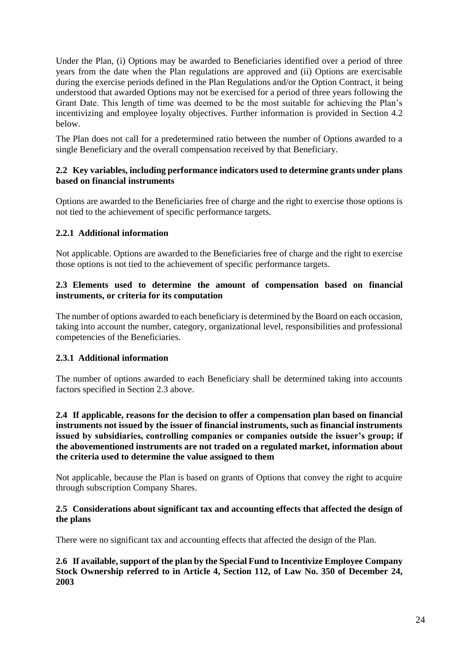Under the Plan, (i) Options may be awarded to Beneficiaries identified over a period of three years from the date when the Plan regulations are approved and (ii) Options are exercisable during the exercise periods defined in the Plan Regulations and/or the Option Contract, it being understood that awarded Options may not be exercised for a period of three years following the Grant Date. This length of time was deemed to be the most suitable for achieving the Plan's incentivizing and employee loyalty objectives. Further information is provided in Section 4.2 below.

The Plan does not call for a predetermined ratio between the number of Options awarded to a single Beneficiary and the overall compensation received by that Beneficiary.

#### **2.2 Key variables, including performance indicators used to determine grants under plans based on financial instruments**

Options are awarded to the Beneficiaries free of charge and the right to exercise those options is not tied to the achievement of specific performance targets.

#### **2.2.1 Additional information**

Not applicable. Options are awarded to the Beneficiaries free of charge and the right to exercise those options is not tied to the achievement of specific performance targets.

#### **2.3 Elements used to determine the amount of compensation based on financial instruments, or criteria for its computation**

The number of options awarded to each beneficiary is determined by the Board on each occasion, taking into account the number, category, organizational level, responsibilities and professional competencies of the Beneficiaries.

#### **2.3.1 Additional information**

The number of options awarded to each Beneficiary shall be determined taking into accounts factors specified in Section 2.3 above.

#### **2.4 If applicable, reasons for the decision to offer a compensation plan based on financial instruments not issued by the issuer of financial instruments, such as financial instruments issued by subsidiaries, controlling companies or companies outside the issuer's group; if the abovementioned instruments are not traded on a regulated market, information about the criteria used to determine the value assigned to them**

Not applicable, because the Plan is based on grants of Options that convey the right to acquire through subscription Company Shares.

#### **2.5 Considerations about significant tax and accounting effects that affected the design of the plans**

There were no significant tax and accounting effects that affected the design of the Plan.

**2.6 If available, support of the plan by the Special Fund to Incentivize Employee Company Stock Ownership referred to in Article 4, Section 112, of Law No. 350 of December 24, 2003**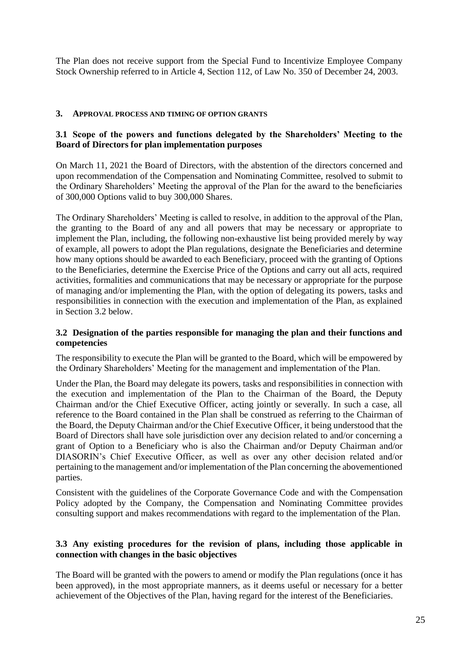The Plan does not receive support from the Special Fund to Incentivize Employee Company Stock Ownership referred to in Article 4, Section 112, of Law No. 350 of December 24, 2003.

#### **3. APPROVAL PROCESS AND TIMING OF OPTION GRANTS**

#### **3.1 Scope of the powers and functions delegated by the Shareholders' Meeting to the Board of Directors for plan implementation purposes**

On March 11, 2021 the Board of Directors, with the abstention of the directors concerned and upon recommendation of the Compensation and Nominating Committee, resolved to submit to the Ordinary Shareholders' Meeting the approval of the Plan for the award to the beneficiaries of 300,000 Options valid to buy 300,000 Shares.

The Ordinary Shareholders' Meeting is called to resolve, in addition to the approval of the Plan, the granting to the Board of any and all powers that may be necessary or appropriate to implement the Plan, including, the following non-exhaustive list being provided merely by way of example, all powers to adopt the Plan regulations, designate the Beneficiaries and determine how many options should be awarded to each Beneficiary, proceed with the granting of Options to the Beneficiaries, determine the Exercise Price of the Options and carry out all acts, required activities, formalities and communications that may be necessary or appropriate for the purpose of managing and/or implementing the Plan, with the option of delegating its powers, tasks and responsibilities in connection with the execution and implementation of the Plan, as explained in Section 3.2 below.

#### **3.2 Designation of the parties responsible for managing the plan and their functions and competencies**

The responsibility to execute the Plan will be granted to the Board, which will be empowered by the Ordinary Shareholders' Meeting for the management and implementation of the Plan.

Under the Plan, the Board may delegate its powers, tasks and responsibilities in connection with the execution and implementation of the Plan to the Chairman of the Board, the Deputy Chairman and/or the Chief Executive Officer, acting jointly or severally. In such a case, all reference to the Board contained in the Plan shall be construed as referring to the Chairman of the Board, the Deputy Chairman and/or the Chief Executive Officer, it being understood that the Board of Directors shall have sole jurisdiction over any decision related to and/or concerning a grant of Option to a Beneficiary who is also the Chairman and/or Deputy Chairman and/or DIASORIN's Chief Executive Officer, as well as over any other decision related and/or pertaining to the management and/or implementation of the Plan concerning the abovementioned parties.

Consistent with the guidelines of the Corporate Governance Code and with the Compensation Policy adopted by the Company, the Compensation and Nominating Committee provides consulting support and makes recommendations with regard to the implementation of the Plan.

#### **3.3 Any existing procedures for the revision of plans, including those applicable in connection with changes in the basic objectives**

The Board will be granted with the powers to amend or modify the Plan regulations (once it has been approved), in the most appropriate manners, as it deems useful or necessary for a better achievement of the Objectives of the Plan, having regard for the interest of the Beneficiaries.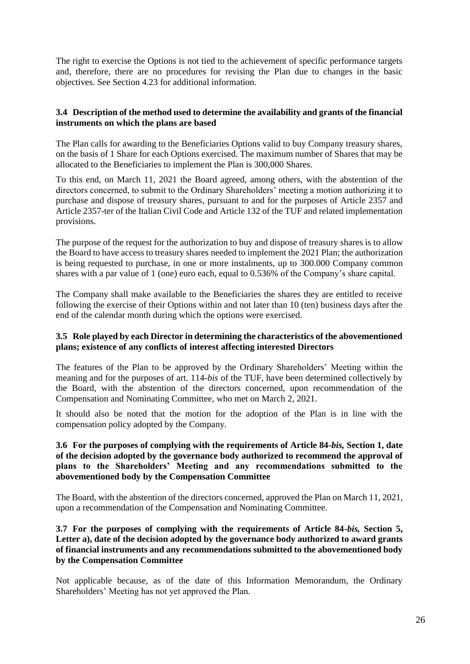The right to exercise the Options is not tied to the achievement of specific performance targets and, therefore, there are no procedures for revising the Plan due to changes in the basic objectives. See Section 4.23 for additional information.

## **3.4 Description of the method used to determine the availability and grants of the financial instruments on which the plans are based**

The Plan calls for awarding to the Beneficiaries Options valid to buy Company treasury shares, on the basis of 1 Share for each Options exercised. The maximum number of Shares that may be allocated to the Beneficiaries to implement the Plan is 300,000 Shares.

To this end, on March 11, 2021 the Board agreed, among others, with the abstention of the directors concerned, to submit to the Ordinary Shareholders' meeting a motion authorizing it to purchase and dispose of treasury shares, pursuant to and for the purposes of Article 2357 and Article 2357-ter of the Italian Civil Code and Article 132 of the TUF and related implementation provisions.

The purpose of the request for the authorization to buy and dispose of treasury shares is to allow the Board to have access to treasury shares needed to implement the 2021 Plan; the authorization is being requested to purchase, in one or more instalments, up to 300.000 Company common shares with a par value of 1 (one) euro each, equal to 0.536% of the Company's share capital.

The Company shall make available to the Beneficiaries the shares they are entitled to receive following the exercise of their Options within and not later than 10 (ten) business days after the end of the calendar month during which the options were exercised.

#### **3.5 Role played by each Director in determining the characteristics of the abovementioned plans; existence of any conflicts of interest affecting interested Directors**

The features of the Plan to be approved by the Ordinary Shareholders' Meeting within the meaning and for the purposes of art. 114-*bis* of the TUF, have been determined collectively by the Board, with the abstention of the directors concerned, upon recommendation of the Compensation and Nominating Committee, who met on March 2, 2021.

It should also be noted that the motion for the adoption of the Plan is in line with the compensation policy adopted by the Company.

#### **3.6 For the purposes of complying with the requirements of Article 84-***bis,* **Section 1, date of the decision adopted by the governance body authorized to recommend the approval of plans to the Shareholders' Meeting and any recommendations submitted to the abovementioned body by the Compensation Committee**

The Board, with the abstention of the directors concerned, approved the Plan on March 11, 2021, upon a recommendation of the Compensation and Nominating Committee.

#### **3.7 For the purposes of complying with the requirements of Article 84-***bis,* **Section 5,**  Letter a), date of the decision adopted by the governance body authorized to award grants **of financial instruments and any recommendations submitted to the abovementioned body by the Compensation Committee**

Not applicable because, as of the date of this Information Memorandum, the Ordinary Shareholders' Meeting has not yet approved the Plan.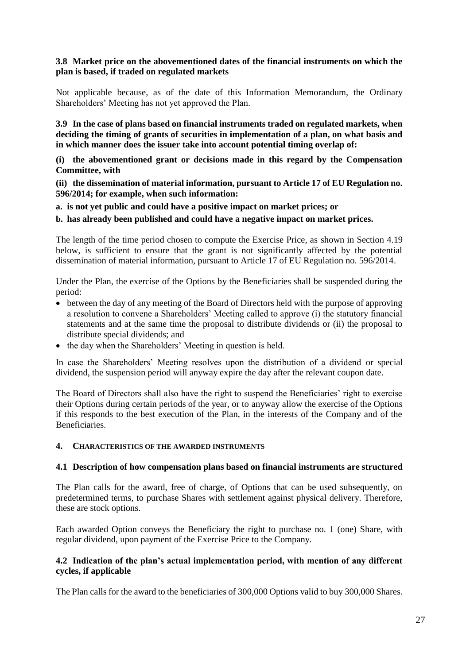#### **3.8 Market price on the abovementioned dates of the financial instruments on which the plan is based, if traded on regulated markets**

Not applicable because, as of the date of this Information Memorandum, the Ordinary Shareholders' Meeting has not yet approved the Plan.

**3.9 In the case of plans based on financial instruments traded on regulated markets, when deciding the timing of grants of securities in implementation of a plan, on what basis and in which manner does the issuer take into account potential timing overlap of:**

**(i) the abovementioned grant or decisions made in this regard by the Compensation Committee, with**

**(ii) the dissemination of material information, pursuant to Article 17 of EU Regulation no. 596/2014; for example, when such information:** 

**a. is not yet public and could have a positive impact on market prices; or**

**b. has already been published and could have a negative impact on market prices.**

The length of the time period chosen to compute the Exercise Price, as shown in Section 4.19 below, is sufficient to ensure that the grant is not significantly affected by the potential dissemination of material information, pursuant to Article 17 of EU Regulation no. 596/2014.

Under the Plan, the exercise of the Options by the Beneficiaries shall be suspended during the period:

- between the day of any meeting of the Board of Directors held with the purpose of approving a resolution to convene a Shareholders' Meeting called to approve (i) the statutory financial statements and at the same time the proposal to distribute dividends or (ii) the proposal to distribute special dividends; and
- the day when the Shareholders' Meeting in question is held.

In case the Shareholders' Meeting resolves upon the distribution of a dividend or special dividend, the suspension period will anyway expire the day after the relevant coupon date.

The Board of Directors shall also have the right to suspend the Beneficiaries' right to exercise their Options during certain periods of the year, or to anyway allow the exercise of the Options if this responds to the best execution of the Plan, in the interests of the Company and of the Beneficiaries.

#### **4. CHARACTERISTICS OF THE AWARDED INSTRUMENTS**

#### **4.1 Description of how compensation plans based on financial instruments are structured**

The Plan calls for the award, free of charge, of Options that can be used subsequently, on predetermined terms, to purchase Shares with settlement against physical delivery. Therefore, these are stock options.

Each awarded Option conveys the Beneficiary the right to purchase no. 1 (one) Share, with regular dividend, upon payment of the Exercise Price to the Company.

#### **4.2 Indication of the plan's actual implementation period, with mention of any different cycles, if applicable**

The Plan calls for the award to the beneficiaries of 300,000 Options valid to buy 300,000 Shares.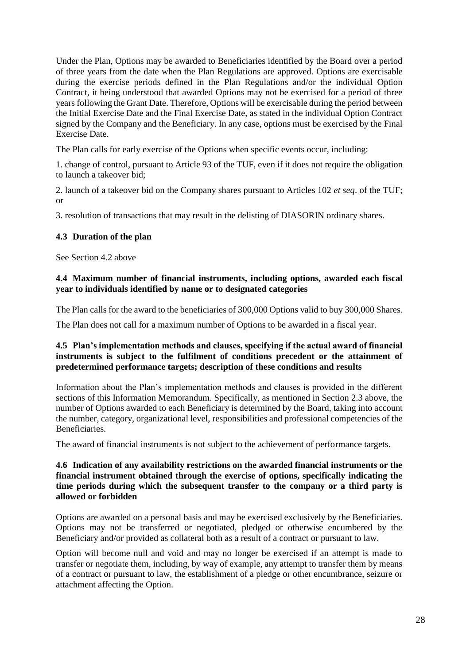Under the Plan, Options may be awarded to Beneficiaries identified by the Board over a period of three years from the date when the Plan Regulations are approved. Options are exercisable during the exercise periods defined in the Plan Regulations and/or the individual Option Contract, it being understood that awarded Options may not be exercised for a period of three years following the Grant Date. Therefore, Options will be exercisable during the period between the Initial Exercise Date and the Final Exercise Date, as stated in the individual Option Contract signed by the Company and the Beneficiary. In any case, options must be exercised by the Final Exercise Date.

The Plan calls for early exercise of the Options when specific events occur, including:

1. change of control, pursuant to Article 93 of the TUF, even if it does not require the obligation to launch a takeover bid;

2. launch of a takeover bid on the Company shares pursuant to Articles 102 *et seq*. of the TUF; or

3. resolution of transactions that may result in the delisting of DIASORIN ordinary shares.

#### **4.3 Duration of the plan**

See Section 4.2 above

#### **4.4 Maximum number of financial instruments, including options, awarded each fiscal year to individuals identified by name or to designated categories**

The Plan calls for the award to the beneficiaries of 300,000 Options valid to buy 300,000 Shares.

The Plan does not call for a maximum number of Options to be awarded in a fiscal year.

#### **4.5 Plan's implementation methods and clauses, specifying if the actual award of financial instruments is subject to the fulfilment of conditions precedent or the attainment of predetermined performance targets; description of these conditions and results**

Information about the Plan's implementation methods and clauses is provided in the different sections of this Information Memorandum. Specifically, as mentioned in Section 2.3 above, the number of Options awarded to each Beneficiary is determined by the Board, taking into account the number, category, organizational level, responsibilities and professional competencies of the Beneficiaries.

The award of financial instruments is not subject to the achievement of performance targets.

#### **4.6 Indication of any availability restrictions on the awarded financial instruments or the financial instrument obtained through the exercise of options, specifically indicating the time periods during which the subsequent transfer to the company or a third party is allowed or forbidden**

Options are awarded on a personal basis and may be exercised exclusively by the Beneficiaries. Options may not be transferred or negotiated, pledged or otherwise encumbered by the Beneficiary and/or provided as collateral both as a result of a contract or pursuant to law.

Option will become null and void and may no longer be exercised if an attempt is made to transfer or negotiate them, including, by way of example, any attempt to transfer them by means of a contract or pursuant to law, the establishment of a pledge or other encumbrance, seizure or attachment affecting the Option.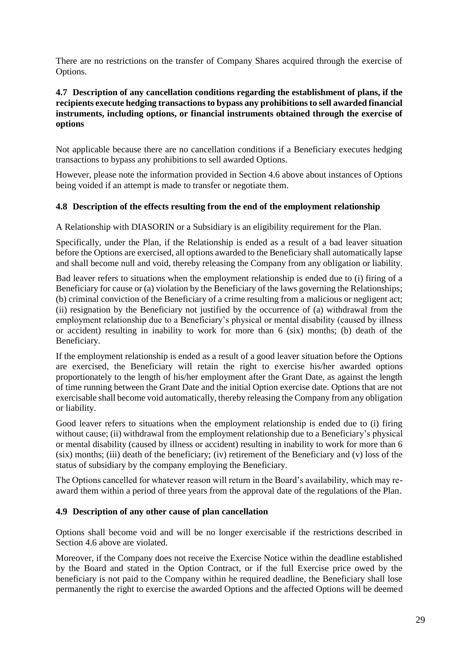There are no restrictions on the transfer of Company Shares acquired through the exercise of Options.

#### **4.7 Description of any cancellation conditions regarding the establishment of plans, if the recipients execute hedging transactions to bypass any prohibitions to sell awarded financial instruments, including options, or financial instruments obtained through the exercise of options**

Not applicable because there are no cancellation conditions if a Beneficiary executes hedging transactions to bypass any prohibitions to sell awarded Options.

However, please note the information provided in Section 4.6 above about instances of Options being voided if an attempt is made to transfer or negotiate them.

#### **4.8 Description of the effects resulting from the end of the employment relationship**

A Relationship with DIASORIN or a Subsidiary is an eligibility requirement for the Plan.

Specifically, under the Plan, if the Relationship is ended as a result of a bad leaver situation before the Options are exercised, all options awarded to the Beneficiary shall automatically lapse and shall become null and void, thereby releasing the Company from any obligation or liability.

Bad leaver refers to situations when the employment relationship is ended due to (i) firing of a Beneficiary for cause or (a) violation by the Beneficiary of the laws governing the Relationships; (b) criminal conviction of the Beneficiary of a crime resulting from a malicious or negligent act; (ii) resignation by the Beneficiary not justified by the occurrence of (a) withdrawal from the employment relationship due to a Beneficiary's physical or mental disability (caused by illness or accident) resulting in inability to work for more than 6 (six) months; (b) death of the Beneficiary.

If the employment relationship is ended as a result of a good leaver situation before the Options are exercised, the Beneficiary will retain the right to exercise his/her awarded options proportionately to the length of his/her employment after the Grant Date, as against the length of time running between the Grant Date and the initial Option exercise date. Options that are not exercisable shall become void automatically, thereby releasing the Company from any obligation or liability.

Good leaver refers to situations when the employment relationship is ended due to (i) firing without cause; (ii) withdrawal from the employment relationship due to a Beneficiary's physical or mental disability (caused by illness or accident) resulting in inability to work for more than 6 (six) months; (iii) death of the beneficiary; (iv) retirement of the Beneficiary and (v) loss of the status of subsidiary by the company employing the Beneficiary.

The Options cancelled for whatever reason will return in the Board's availability, which may reaward them within a period of three years from the approval date of the regulations of the Plan.

#### **4.9 Description of any other cause of plan cancellation**

Options shall become void and will be no longer exercisable if the restrictions described in Section 4.6 above are violated.

Moreover, if the Company does not receive the Exercise Notice within the deadline established by the Board and stated in the Option Contract, or if the full Exercise price owed by the beneficiary is not paid to the Company within he required deadline, the Beneficiary shall lose permanently the right to exercise the awarded Options and the affected Options will be deemed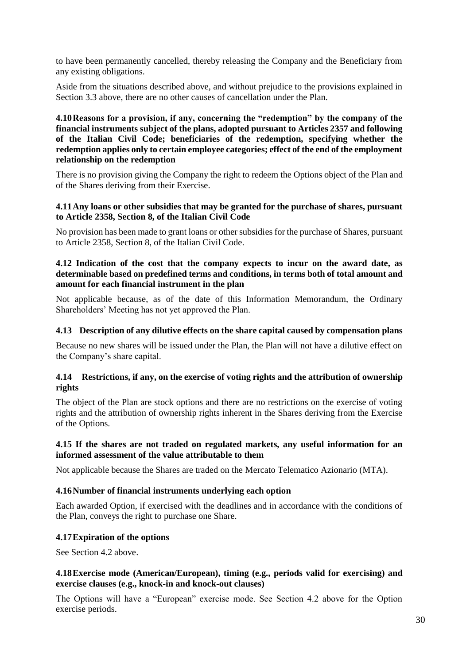to have been permanently cancelled, thereby releasing the Company and the Beneficiary from any existing obligations.

Aside from the situations described above, and without prejudice to the provisions explained in Section 3.3 above, there are no other causes of cancellation under the Plan.

**4.10Reasons for a provision, if any, concerning the "redemption" by the company of the financial instruments subject of the plans, adopted pursuant to Articles 2357 and following of the Italian Civil Code; beneficiaries of the redemption, specifying whether the redemption applies only to certain employee categories; effect of the end of the employment relationship on the redemption**

There is no provision giving the Company the right to redeem the Options object of the Plan and of the Shares deriving from their Exercise.

#### **4.11Any loans or other subsidies that may be granted for the purchase of shares, pursuant to Article 2358, Section 8, of the Italian Civil Code**

No provision has been made to grant loans or other subsidies for the purchase of Shares, pursuant to Article 2358, Section 8, of the Italian Civil Code.

#### **4.12 Indication of the cost that the company expects to incur on the award date, as determinable based on predefined terms and conditions, in terms both of total amount and amount for each financial instrument in the plan**

Not applicable because, as of the date of this Information Memorandum, the Ordinary Shareholders' Meeting has not yet approved the Plan.

#### **4.13 Description of any dilutive effects on the share capital caused by compensation plans**

Because no new shares will be issued under the Plan, the Plan will not have a dilutive effect on the Company's share capital.

#### **4.14 Restrictions, if any, on the exercise of voting rights and the attribution of ownership rights**

The object of the Plan are stock options and there are no restrictions on the exercise of voting rights and the attribution of ownership rights inherent in the Shares deriving from the Exercise of the Options.

#### **4.15 If the shares are not traded on regulated markets, any useful information for an informed assessment of the value attributable to them**

Not applicable because the Shares are traded on the Mercato Telematico Azionario (MTA).

#### **4.16Number of financial instruments underlying each option**

Each awarded Option, if exercised with the deadlines and in accordance with the conditions of the Plan, conveys the right to purchase one Share.

#### **4.17Expiration of the options**

See Section 4.2 above.

#### **4.18Exercise mode (American/European), timing (e.g., periods valid for exercising) and exercise clauses (e.g., knock-in and knock-out clauses)**

The Options will have a "European" exercise mode. See Section 4.2 above for the Option exercise periods.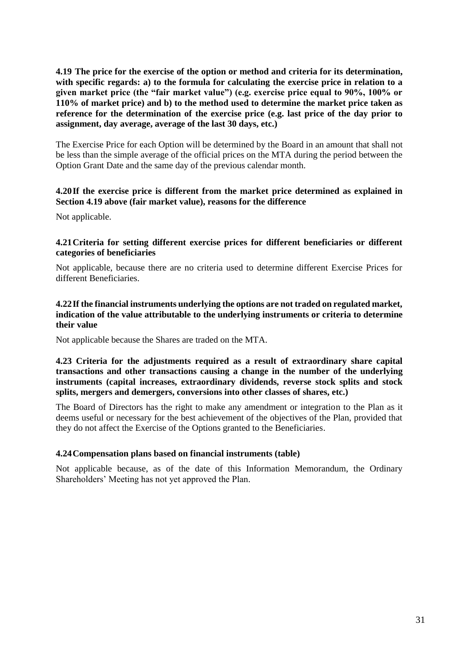**4.19 The price for the exercise of the option or method and criteria for its determination, with specific regards: a) to the formula for calculating the exercise price in relation to a given market price (the "fair market value") (e.g. exercise price equal to 90%, 100% or 110% of market price) and b) to the method used to determine the market price taken as reference for the determination of the exercise price (e.g. last price of the day prior to assignment, day average, average of the last 30 days, etc.)**

The Exercise Price for each Option will be determined by the Board in an amount that shall not be less than the simple average of the official prices on the MTA during the period between the Option Grant Date and the same day of the previous calendar month.

#### **4.20If the exercise price is different from the market price determined as explained in Section 4.19 above (fair market value), reasons for the difference**

Not applicable.

#### **4.21Criteria for setting different exercise prices for different beneficiaries or different categories of beneficiaries**

Not applicable, because there are no criteria used to determine different Exercise Prices for different Beneficiaries.

#### **4.22If the financial instruments underlying the options are not traded on regulated market, indication of the value attributable to the underlying instruments or criteria to determine their value**

Not applicable because the Shares are traded on the MTA.

#### **4.23 Criteria for the adjustments required as a result of extraordinary share capital transactions and other transactions causing a change in the number of the underlying instruments (capital increases, extraordinary dividends, reverse stock splits and stock splits, mergers and demergers, conversions into other classes of shares, etc.)**

The Board of Directors has the right to make any amendment or integration to the Plan as it deems useful or necessary for the best achievement of the objectives of the Plan, provided that they do not affect the Exercise of the Options granted to the Beneficiaries.

#### **4.24Compensation plans based on financial instruments (table)**

Not applicable because, as of the date of this Information Memorandum, the Ordinary Shareholders' Meeting has not yet approved the Plan.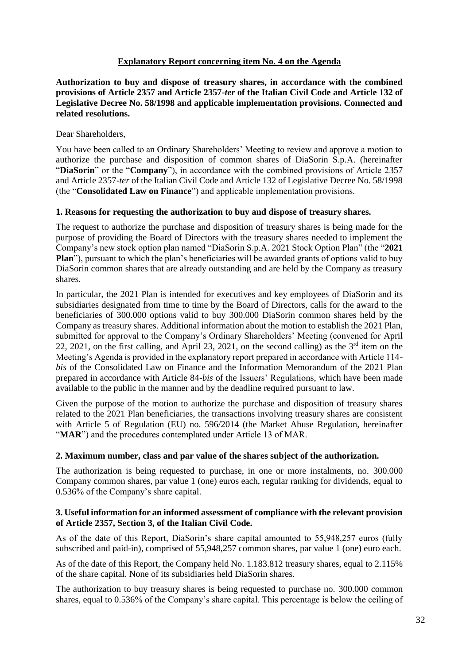#### **Explanatory Report concerning item No. 4 on the Agenda**

<span id="page-31-0"></span>**Authorization to buy and dispose of treasury shares, in accordance with the combined provisions of Article 2357 and Article 2357-***ter* **of the Italian Civil Code and Article 132 of Legislative Decree No. 58/1998 and applicable implementation provisions. Connected and related resolutions.**

Dear Shareholders,

You have been called to an Ordinary Shareholders' Meeting to review and approve a motion to authorize the purchase and disposition of common shares of DiaSorin S.p.A. (hereinafter "**DiaSorin**" or the "**Company**"), in accordance with the combined provisions of Article 2357 and Article 2357-*ter* of the Italian Civil Code and Article 132 of Legislative Decree No. 58/1998 (the "**Consolidated Law on Finance**") and applicable implementation provisions.

#### **1. Reasons for requesting the authorization to buy and dispose of treasury shares.**

The request to authorize the purchase and disposition of treasury shares is being made for the purpose of providing the Board of Directors with the treasury shares needed to implement the Company's new stock option plan named "DiaSorin S.p.A. 2021 Stock Option Plan" (the "**2021 Plan**"), pursuant to which the plan's beneficiaries will be awarded grants of options valid to buy DiaSorin common shares that are already outstanding and are held by the Company as treasury shares.

In particular, the 2021 Plan is intended for executives and key employees of DiaSorin and its subsidiaries designated from time to time by the Board of Directors, calls for the award to the beneficiaries of 300.000 options valid to buy 300.000 DiaSorin common shares held by the Company as treasury shares. Additional information about the motion to establish the 2021 Plan, submitted for approval to the Company's Ordinary Shareholders' Meeting (convened for April 22, 2021, on the first calling, and April 23, 2021, on the second calling) as the  $3<sup>rd</sup>$  item on the Meeting's Agenda is provided in the explanatory report prepared in accordance with Article 114 *bis* of the Consolidated Law on Finance and the Information Memorandum of the 2021 Plan prepared in accordance with Article 84-*bis* of the Issuers' Regulations, which have been made available to the public in the manner and by the deadline required pursuant to law.

Given the purpose of the motion to authorize the purchase and disposition of treasury shares related to the 2021 Plan beneficiaries, the transactions involving treasury shares are consistent with Article 5 of Regulation (EU) no. 596/2014 (the Market Abuse Regulation, hereinafter "**MAR**") and the procedures contemplated under Article 13 of MAR.

# **2. Maximum number, class and par value of the shares subject of the authorization.**

The authorization is being requested to purchase, in one or more instalments, no. 300.000 Company common shares, par value 1 (one) euros each, regular ranking for dividends, equal to 0.536% of the Company's share capital.

#### **3. Useful information for an informed assessment of compliance with the relevant provision of Article 2357, Section 3, of the Italian Civil Code.**

As of the date of this Report, DiaSorin's share capital amounted to 55,948,257 euros (fully subscribed and paid-in), comprised of 55,948,257 common shares, par value 1 (one) euro each.

As of the date of this Report, the Company held No. 1.183.812 treasury shares, equal to 2.115% of the share capital. None of its subsidiaries held DiaSorin shares.

The authorization to buy treasury shares is being requested to purchase no. 300.000 common shares, equal to 0.536% of the Company's share capital. This percentage is below the ceiling of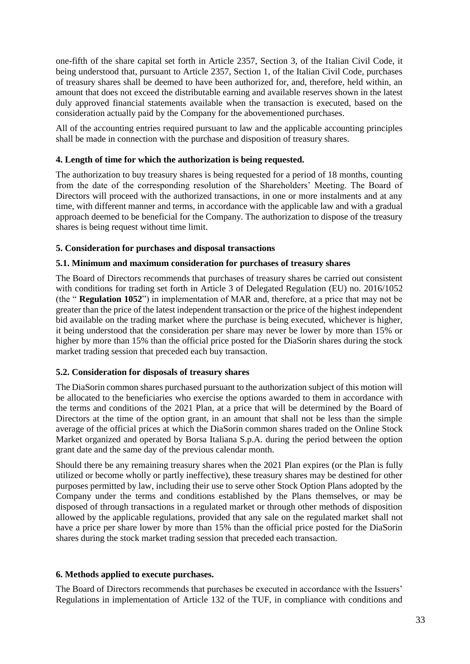one-fifth of the share capital set forth in Article 2357, Section 3, of the Italian Civil Code, it being understood that, pursuant to Article 2357, Section 1, of the Italian Civil Code, purchases of treasury shares shall be deemed to have been authorized for, and, therefore, held within, an amount that does not exceed the distributable earning and available reserves shown in the latest duly approved financial statements available when the transaction is executed, based on the consideration actually paid by the Company for the abovementioned purchases.

All of the accounting entries required pursuant to law and the applicable accounting principles shall be made in connection with the purchase and disposition of treasury shares.

#### **4. Length of time for which the authorization is being requested.**

The authorization to buy treasury shares is being requested for a period of 18 months, counting from the date of the corresponding resolution of the Shareholders' Meeting. The Board of Directors will proceed with the authorized transactions, in one or more instalments and at any time, with different manner and terms, in accordance with the applicable law and with a gradual approach deemed to be beneficial for the Company. The authorization to dispose of the treasury shares is being request without time limit.

#### **5. Consideration for purchases and disposal transactions**

#### **5.1. Minimum and maximum consideration for purchases of treasury shares**

The Board of Directors recommends that purchases of treasury shares be carried out consistent with conditions for trading set forth in Article 3 of Delegated Regulation (EU) no. 2016/1052 (the " **Regulation 1052**") in implementation of MAR and, therefore, at a price that may not be greater than the price of the latest independent transaction or the price of the highest independent bid available on the trading market where the purchase is being executed, whichever is higher, it being understood that the consideration per share may never be lower by more than 15% or higher by more than 15% than the official price posted for the DiaSorin shares during the stock market trading session that preceded each buy transaction.

#### **5.2. Consideration for disposals of treasury shares**

The DiaSorin common shares purchased pursuant to the authorization subject of this motion will be allocated to the beneficiaries who exercise the options awarded to them in accordance with the terms and conditions of the 2021 Plan, at a price that will be determined by the Board of Directors at the time of the option grant, in an amount that shall not be less than the simple average of the official prices at which the DiaSorin common shares traded on the Online Stock Market organized and operated by Borsa Italiana S.p.A. during the period between the option grant date and the same day of the previous calendar month.

Should there be any remaining treasury shares when the 2021 Plan expires (or the Plan is fully utilized or become wholly or partly ineffective), these treasury shares may be destined for other purposes permitted by law, including their use to serve other Stock Option Plans adopted by the Company under the terms and conditions established by the Plans themselves, or may be disposed of through transactions in a regulated market or through other methods of disposition allowed by the applicable regulations, provided that any sale on the regulated market shall not have a price per share lower by more than 15% than the official price posted for the DiaSorin shares during the stock market trading session that preceded each transaction.

#### **6. Methods applied to execute purchases.**

The Board of Directors recommends that purchases be executed in accordance with the Issuers' Regulations in implementation of Article 132 of the TUF, in compliance with conditions and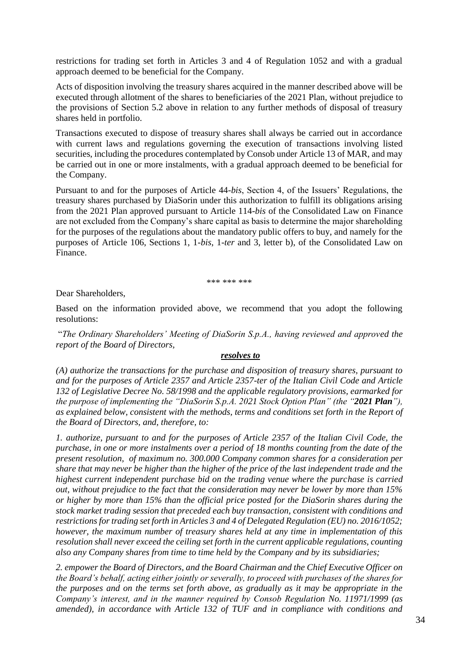restrictions for trading set forth in Articles 3 and 4 of Regulation 1052 and with a gradual approach deemed to be beneficial for the Company.

Acts of disposition involving the treasury shares acquired in the manner described above will be executed through allotment of the shares to beneficiaries of the 2021 Plan, without prejudice to the provisions of Section 5.2 above in relation to any further methods of disposal of treasury shares held in portfolio.

Transactions executed to dispose of treasury shares shall always be carried out in accordance with current laws and regulations governing the execution of transactions involving listed securities, including the procedures contemplated by Consob under Article 13 of MAR, and may be carried out in one or more instalments, with a gradual approach deemed to be beneficial for the Company.

Pursuant to and for the purposes of Article 44-*bis*, Section 4, of the Issuers' Regulations, the treasury shares purchased by DiaSorin under this authorization to fulfill its obligations arising from the 2021 Plan approved pursuant to Article 114-*bis* of the Consolidated Law on Finance are not excluded from the Company's share capital as basis to determine the major shareholding for the purposes of the regulations about the mandatory public offers to buy, and namely for the purposes of Article 106, Sections 1, 1-*bis*, 1-*ter* and 3, letter b), of the Consolidated Law on Finance.

\*\*\* \*\*\* \*\*\*

Dear Shareholders,

Based on the information provided above, we recommend that you adopt the following resolutions:

"*The Ordinary Shareholders' Meeting of DiaSorin S.p.A., having reviewed and approved the report of the Board of Directors,*

#### *resolves to*

*(A) authorize the transactions for the purchase and disposition of treasury shares, pursuant to and for the purposes of Article 2357 and Article 2357-ter of the Italian Civil Code and Article 132 of Legislative Decree No. 58/1998 and the applicable regulatory provisions, earmarked for the purpose of implementing the "DiaSorin S.p.A. 2021 Stock Option Plan" (the "2021 Plan"), as explained below, consistent with the methods, terms and conditions set forth in the Report of the Board of Directors, and, therefore, to:*

*1. authorize, pursuant to and for the purposes of Article 2357 of the Italian Civil Code, the purchase, in one or more instalments over a period of 18 months counting from the date of the present resolution, of maximum no. 300.000 Company common shares for a consideration per share that may never be higher than the higher of the price of the last independent trade and the highest current independent purchase bid on the trading venue where the purchase is carried out, without prejudice to the fact that the consideration may never be lower by more than 15% or higher by more than 15% than the official price posted for the DiaSorin shares during the stock market trading session that preceded each buy transaction, consistent with conditions and restrictions for trading set forth in Articles 3 and 4 of Delegated Regulation (EU) no. 2016/1052; however, the maximum number of treasury shares held at any time in implementation of this resolution shall never exceed the ceiling set forth in the current applicable regulations, counting also any Company shares from time to time held by the Company and by its subsidiaries;*

*2. empower the Board of Directors, and the Board Chairman and the Chief Executive Officer on the Board's behalf, acting either jointly or severally, to proceed with purchases of the shares for the purposes and on the terms set forth above, as gradually as it may be appropriate in the Company's interest, and in the manner required by Consob Regulation No. 11971/1999 (as amended), in accordance with Article 132 of TUF and in compliance with conditions and*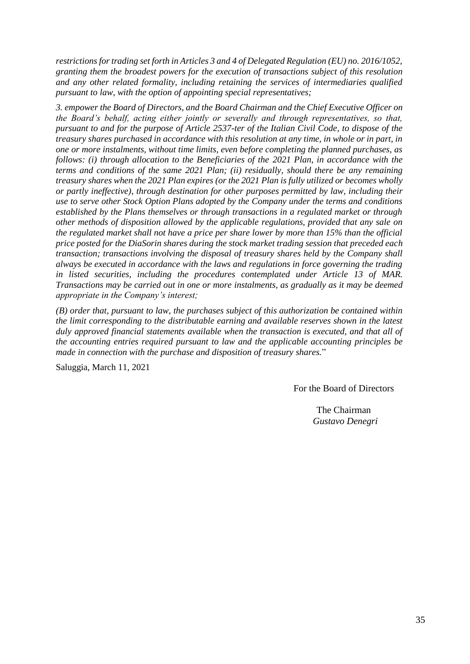*restrictions for trading set forth in Articles 3 and 4 of Delegated Regulation (EU) no. 2016/1052, granting them the broadest powers for the execution of transactions subject of this resolution and any other related formality, including retaining the services of intermediaries qualified pursuant to law, with the option of appointing special representatives;*

*3. empower the Board of Directors, and the Board Chairman and the Chief Executive Officer on the Board's behalf, acting either jointly or severally and through representatives, so that, pursuant to and for the purpose of Article 2537-ter of the Italian Civil Code, to dispose of the treasury shares purchased in accordance with this resolution at any time, in whole or in part, in one or more instalments, without time limits, even before completing the planned purchases, as follows: (i) through allocation to the Beneficiaries of the 2021 Plan, in accordance with the terms and conditions of the same 2021 Plan; (ii) residually, should there be any remaining treasury shares when the 2021 Plan expires (or the 2021 Plan is fully utilized or becomes wholly or partly ineffective), through destination for other purposes permitted by law, including their use to serve other Stock Option Plans adopted by the Company under the terms and conditions established by the Plans themselves or through transactions in a regulated market or through other methods of disposition allowed by the applicable regulations, provided that any sale on the regulated market shall not have a price per share lower by more than 15% than the official price posted for the DiaSorin shares during the stock market trading session that preceded each transaction; transactions involving the disposal of treasury shares held by the Company shall always be executed in accordance with the laws and regulations in force governing the trading in listed securities, including the procedures contemplated under Article 13 of MAR. Transactions may be carried out in one or more instalments, as gradually as it may be deemed appropriate in the Company's interest;*

*(B) order that, pursuant to law, the purchases subject of this authorization be contained within the limit corresponding to the distributable earning and available reserves shown in the latest duly approved financial statements available when the transaction is executed, and that all of the accounting entries required pursuant to law and the applicable accounting principles be made in connection with the purchase and disposition of treasury shares.*"

Saluggia, March 11, 2021

For the Board of Directors

The Chairman  *Gustavo Denegri*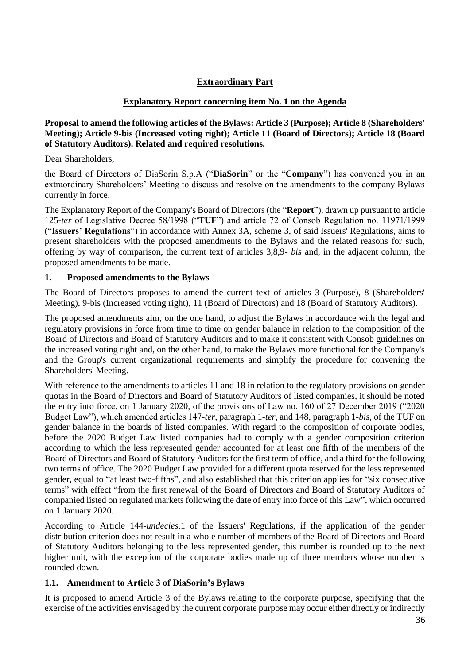# **Extraordinary Part**

## **Explanatory Report concerning item No. 1 on the Agenda**

#### <span id="page-35-1"></span><span id="page-35-0"></span>**Proposal to amend the following articles of the Bylaws: Article 3 (Purpose); Article 8 (Shareholders' Meeting); Article 9-bis (Increased voting right); Article 11 (Board of Directors); Article 18 (Board of Statutory Auditors). Related and required resolutions.**

Dear Shareholders,

the Board of Directors of DiaSorin S.p.A ("**DiaSorin**" or the "**Company**") has convened you in an extraordinary Shareholders' Meeting to discuss and resolve on the amendments to the company Bylaws currently in force.

The Explanatory Report of the Company's Board of Directors (the "**Report**"), drawn up pursuant to article 125-*ter* of Legislative Decree 58/1998 ("**TUF**") and article 72 of Consob Regulation no. 11971/1999 ("**Issuers' Regulations**") in accordance with Annex 3A, scheme 3, of said Issuers' Regulations, aims to present shareholders with the proposed amendments to the Bylaws and the related reasons for such, offering by way of comparison, the current text of articles 3,8,9- *bis* and, in the adjacent column, the proposed amendments to be made.

#### **1. Proposed amendments to the Bylaws**

The Board of Directors proposes to amend the current text of articles 3 (Purpose), 8 (Shareholders' Meeting), 9-bis (Increased voting right), 11 (Board of Directors) and 18 (Board of Statutory Auditors).

The proposed amendments aim, on the one hand, to adjust the Bylaws in accordance with the legal and regulatory provisions in force from time to time on gender balance in relation to the composition of the Board of Directors and Board of Statutory Auditors and to make it consistent with Consob guidelines on the increased voting right and, on the other hand, to make the Bylaws more functional for the Company's and the Group's current organizational requirements and simplify the procedure for convening the Shareholders' Meeting.

With reference to the amendments to articles 11 and 18 in relation to the regulatory provisions on gender quotas in the Board of Directors and Board of Statutory Auditors of listed companies, it should be noted the entry into force, on 1 January 2020, of the provisions of Law no. 160 of 27 December 2019 ("2020 Budget Law"), which amended articles 147-*ter*, paragraph 1-*ter*, and 148, paragraph 1-*bis*, of the TUF on gender balance in the boards of listed companies. With regard to the composition of corporate bodies, before the 2020 Budget Law listed companies had to comply with a gender composition criterion according to which the less represented gender accounted for at least one fifth of the members of the Board of Directors and Board of Statutory Auditors for the first term of office, and a third for the following two terms of office. The 2020 Budget Law provided for a different quota reserved for the less represented gender, equal to "at least two-fifths", and also established that this criterion applies for "six consecutive terms" with effect "from the first renewal of the Board of Directors and Board of Statutory Auditors of companied listed on regulated markets following the date of entry into force of this Law", which occurred on 1 January 2020.

According to Article 144-*undecies*.1 of the Issuers' Regulations, if the application of the gender distribution criterion does not result in a whole number of members of the Board of Directors and Board of Statutory Auditors belonging to the less represented gender, this number is rounded up to the next higher unit, with the exception of the corporate bodies made up of three members whose number is rounded down.

# **1.1. Amendment to Article 3 of DiaSorin's Bylaws**

It is proposed to amend Article 3 of the Bylaws relating to the corporate purpose, specifying that the exercise of the activities envisaged by the current corporate purpose may occur either directly or indirectly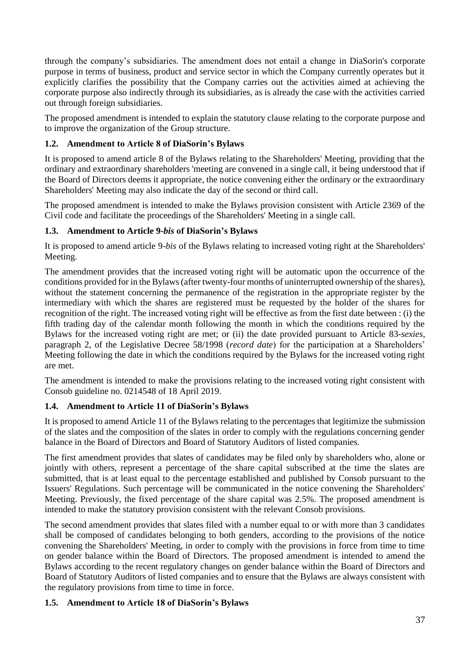through the company's subsidiaries. The amendment does not entail a change in DiaSorin's corporate purpose in terms of business, product and service sector in which the Company currently operates but it explicitly clarifies the possibility that the Company carries out the activities aimed at achieving the corporate purpose also indirectly through its subsidiaries, as is already the case with the activities carried out through foreign subsidiaries.

The proposed amendment is intended to explain the statutory clause relating to the corporate purpose and to improve the organization of the Group structure.

# **1.2. Amendment to Article 8 of DiaSorin's Bylaws**

It is proposed to amend article 8 of the Bylaws relating to the Shareholders' Meeting, providing that the ordinary and extraordinary shareholders 'meeting are convened in a single call, it being understood that if the Board of Directors deems it appropriate, the notice convening either the ordinary or the extraordinary Shareholders' Meeting may also indicate the day of the second or third call.

The proposed amendment is intended to make the Bylaws provision consistent with Article 2369 of the Civil code and facilitate the proceedings of the Shareholders' Meeting in a single call.

# **1.3. Amendment to Article 9-***bis* **of DiaSorin's Bylaws**

It is proposed to amend article 9-*bis* of the Bylaws relating to increased voting right at the Shareholders' Meeting.

The amendment provides that the increased voting right will be automatic upon the occurrence of the conditions provided for in the Bylaws (after twenty-four months of uninterrupted ownership of the shares), without the statement concerning the permanence of the registration in the appropriate register by the intermediary with which the shares are registered must be requested by the holder of the shares for recognition of the right. The increased voting right will be effective as from the first date between : (i) the fifth trading day of the calendar month following the month in which the conditions required by the Bylaws for the increased voting right are met; or (ii) the date provided pursuant to Article 83-*sexies*, paragraph 2, of the Legislative Decree 58/1998 (*record date*) for the participation at a Shareholders' Meeting following the date in which the conditions required by the Bylaws for the increased voting right are met.

The amendment is intended to make the provisions relating to the increased voting right consistent with Consob guideline no. 0214548 of 18 April 2019.

# **1.4. Amendment to Article 11 of DiaSorin's Bylaws**

It is proposed to amend Article 11 of the Bylaws relating to the percentages that legitimize the submission of the slates and the composition of the slates in order to comply with the regulations concerning gender balance in the Board of Directors and Board of Statutory Auditors of listed companies.

The first amendment provides that slates of candidates may be filed only by shareholders who, alone or jointly with others, represent a percentage of the share capital subscribed at the time the slates are submitted, that is at least equal to the percentage established and published by Consob pursuant to the Issuers' Regulations. Such percentage will be communicated in the notice convening the Shareholders' Meeting. Previously, the fixed percentage of the share capital was 2.5%. The proposed amendment is intended to make the statutory provision consistent with the relevant Consob provisions.

The second amendment provides that slates filed with a number equal to or with more than 3 candidates shall be composed of candidates belonging to both genders, according to the provisions of the notice convening the Shareholders' Meeting, in order to comply with the provisions in force from time to time on gender balance within the Board of Directors. The proposed amendment is intended to amend the Bylaws according to the recent regulatory changes on gender balance within the Board of Directors and Board of Statutory Auditors of listed companies and to ensure that the Bylaws are always consistent with the regulatory provisions from time to time in force.

# **1.5. Amendment to Article 18 of DiaSorin's Bylaws**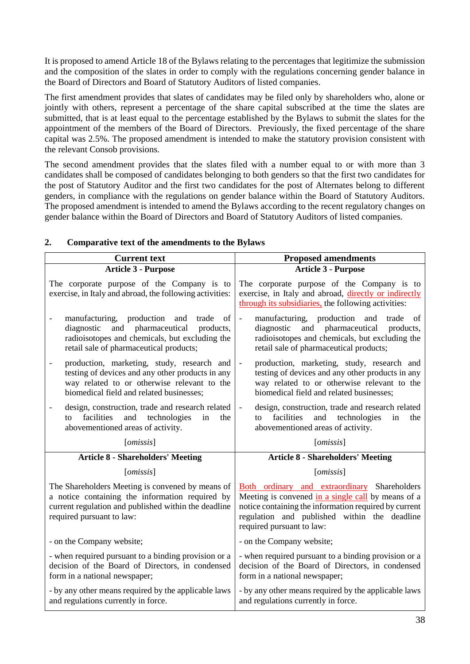It is proposed to amend Article 18 of the Bylaws relating to the percentages that legitimize the submission and the composition of the slates in order to comply with the regulations concerning gender balance in the Board of Directors and Board of Statutory Auditors of listed companies.

The first amendment provides that slates of candidates may be filed only by shareholders who, alone or jointly with others, represent a percentage of the share capital subscribed at the time the slates are submitted, that is at least equal to the percentage established by the Bylaws to submit the slates for the appointment of the members of the Board of Directors. Previously, the fixed percentage of the share capital was 2.5%. The proposed amendment is intended to make the statutory provision consistent with the relevant Consob provisions.

The second amendment provides that the slates filed with a number equal to or with more than 3 candidates shall be composed of candidates belonging to both genders so that the first two candidates for the post of Statutory Auditor and the first two candidates for the post of Alternates belong to different genders, in compliance with the regulations on gender balance within the Board of Statutory Auditors. The proposed amendment is intended to amend the Bylaws according to the recent regulatory changes on gender balance within the Board of Directors and Board of Statutory Auditors of listed companies.

| <b>Current text</b>                                                                                                                                                                                                       |                                                                                                                                                                                                                                          |  |
|---------------------------------------------------------------------------------------------------------------------------------------------------------------------------------------------------------------------------|------------------------------------------------------------------------------------------------------------------------------------------------------------------------------------------------------------------------------------------|--|
| <b>Article 3 - Purpose</b>                                                                                                                                                                                                | <b>Proposed amendments</b><br><b>Article 3 - Purpose</b>                                                                                                                                                                                 |  |
| The corporate purpose of the Company is to<br>exercise, in Italy and abroad, the following activities:                                                                                                                    | The corporate purpose of the Company is to<br>exercise, in Italy and abroad, directly or indirectly<br>through its subsidiaries, the following activities:                                                                               |  |
| manufacturing, production<br>and<br>of<br>trade<br>diagnostic and pharmaceutical products,<br>radioisotopes and chemicals, but excluding the<br>retail sale of pharmaceutical products;                                   | manufacturing, production and trade<br>of<br>$\blacksquare$<br>diagnostic<br>and pharmaceutical products,<br>radioisotopes and chemicals, but excluding the<br>retail sale of pharmaceutical products;                                   |  |
| production, marketing, study, research and<br>$\qquad \qquad \blacksquare$<br>testing of devices and any other products in any<br>way related to or otherwise relevant to the<br>biomedical field and related businesses; | production, marketing, study, research and<br>$\overline{\phantom{a}}$<br>testing of devices and any other products in any<br>way related to or otherwise relevant to the<br>biomedical field and related businesses;                    |  |
| design, construction, trade and research related<br>$\overline{\phantom{0}}$<br>facilities<br>and technologies<br>in<br>the<br>to<br>abovementioned areas of activity.                                                    | design, construction, trade and research related<br>$\overline{\phantom{a}}$<br>and technologies<br>facilities<br>in<br>the<br>to<br>abovementioned areas of activity.                                                                   |  |
| [omissis]                                                                                                                                                                                                                 | [omissis]                                                                                                                                                                                                                                |  |
| <b>Article 8 - Shareholders' Meeting</b>                                                                                                                                                                                  | <b>Article 8 - Shareholders' Meeting</b>                                                                                                                                                                                                 |  |
| [omissis]                                                                                                                                                                                                                 | [omissis]                                                                                                                                                                                                                                |  |
| The Shareholders Meeting is convened by means of<br>a notice containing the information required by<br>current regulation and published within the deadline<br>required pursuant to law:                                  | Both ordinary and extraordinary Shareholders<br>Meeting is convened in a single call by means of a<br>notice containing the information required by current<br>regulation and published within the deadline<br>required pursuant to law: |  |
| - on the Company website;                                                                                                                                                                                                 | - on the Company website;                                                                                                                                                                                                                |  |
| - when required pursuant to a binding provision or a<br>decision of the Board of Directors, in condensed<br>form in a national newspaper;                                                                                 | - when required pursuant to a binding provision or a<br>decision of the Board of Directors, in condensed<br>form in a national newspaper;                                                                                                |  |
| - by any other means required by the applicable laws<br>and regulations currently in force.                                                                                                                               | - by any other means required by the applicable laws<br>and regulations currently in force.                                                                                                                                              |  |

# **2. Comparative text of the amendments to the Bylaws**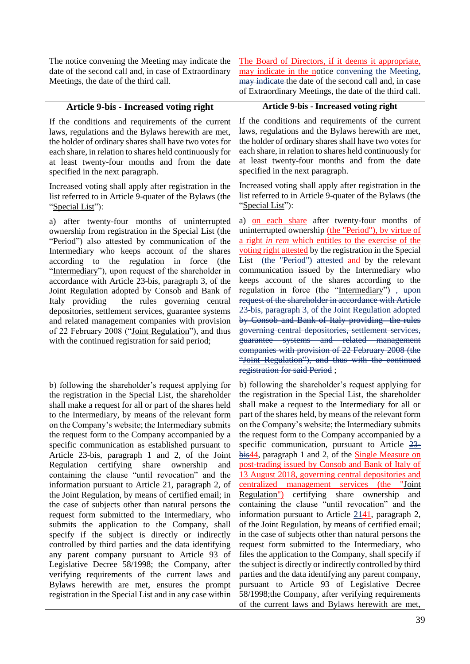| The notice convening the Meeting may indicate the<br>date of the second call and, in case of Extraordinary<br>Meetings, the date of the third call.                                                                                                                                                                                                                                                                                                                                                                                                                                                                                                                                            | The Board of Directors, if it deems it appropriate,<br>may indicate in the notice convening the Meeting,<br>may indicate the date of the second call and, in case<br>of Extraordinary Meetings, the date of the third call.                                                                                                                                                                                                                                                                                                                                                                                                                                                                                                                                                                                                                                   |
|------------------------------------------------------------------------------------------------------------------------------------------------------------------------------------------------------------------------------------------------------------------------------------------------------------------------------------------------------------------------------------------------------------------------------------------------------------------------------------------------------------------------------------------------------------------------------------------------------------------------------------------------------------------------------------------------|---------------------------------------------------------------------------------------------------------------------------------------------------------------------------------------------------------------------------------------------------------------------------------------------------------------------------------------------------------------------------------------------------------------------------------------------------------------------------------------------------------------------------------------------------------------------------------------------------------------------------------------------------------------------------------------------------------------------------------------------------------------------------------------------------------------------------------------------------------------|
| Article 9-bis - Increased voting right                                                                                                                                                                                                                                                                                                                                                                                                                                                                                                                                                                                                                                                         | <b>Article 9-bis - Increased voting right</b>                                                                                                                                                                                                                                                                                                                                                                                                                                                                                                                                                                                                                                                                                                                                                                                                                 |
| If the conditions and requirements of the current                                                                                                                                                                                                                                                                                                                                                                                                                                                                                                                                                                                                                                              | If the conditions and requirements of the current                                                                                                                                                                                                                                                                                                                                                                                                                                                                                                                                                                                                                                                                                                                                                                                                             |
| laws, regulations and the Bylaws herewith are met,                                                                                                                                                                                                                                                                                                                                                                                                                                                                                                                                                                                                                                             | laws, regulations and the Bylaws herewith are met,                                                                                                                                                                                                                                                                                                                                                                                                                                                                                                                                                                                                                                                                                                                                                                                                            |
| the holder of ordinary shares shall have two votes for                                                                                                                                                                                                                                                                                                                                                                                                                                                                                                                                                                                                                                         | the holder of ordinary shares shall have two votes for                                                                                                                                                                                                                                                                                                                                                                                                                                                                                                                                                                                                                                                                                                                                                                                                        |
| each share, in relation to shares held continuously for                                                                                                                                                                                                                                                                                                                                                                                                                                                                                                                                                                                                                                        | each share, in relation to shares held continuously for                                                                                                                                                                                                                                                                                                                                                                                                                                                                                                                                                                                                                                                                                                                                                                                                       |
| at least twenty-four months and from the date                                                                                                                                                                                                                                                                                                                                                                                                                                                                                                                                                                                                                                                  | at least twenty-four months and from the date                                                                                                                                                                                                                                                                                                                                                                                                                                                                                                                                                                                                                                                                                                                                                                                                                 |
| specified in the next paragraph.                                                                                                                                                                                                                                                                                                                                                                                                                                                                                                                                                                                                                                                               | specified in the next paragraph.                                                                                                                                                                                                                                                                                                                                                                                                                                                                                                                                                                                                                                                                                                                                                                                                                              |
| Increased voting shall apply after registration in the                                                                                                                                                                                                                                                                                                                                                                                                                                                                                                                                                                                                                                         | Increased voting shall apply after registration in the                                                                                                                                                                                                                                                                                                                                                                                                                                                                                                                                                                                                                                                                                                                                                                                                        |
| list referred to in Article 9-quater of the Bylaws (the                                                                                                                                                                                                                                                                                                                                                                                                                                                                                                                                                                                                                                        | list referred to in Article 9-quater of the Bylaws (the                                                                                                                                                                                                                                                                                                                                                                                                                                                                                                                                                                                                                                                                                                                                                                                                       |
| "Special List":                                                                                                                                                                                                                                                                                                                                                                                                                                                                                                                                                                                                                                                                                | "Special List":                                                                                                                                                                                                                                                                                                                                                                                                                                                                                                                                                                                                                                                                                                                                                                                                                                               |
| a) after twenty-four months of uninterrupted<br>ownership from registration in the Special List (the<br>"Period") also attested by communication of the<br>Intermediary who keeps account of the shares<br>according to the regulation in force<br>(the<br>"Intermediary"), upon request of the shareholder in<br>accordance with Article 23-bis, paragraph 3, of the<br>Joint Regulation adopted by Consob and Bank of<br>Italy providing<br>the rules governing central<br>depositories, settlement services, guarantee systems<br>and related management companies with provision<br>of 22 February 2008 ("Joint Regulation"), and thus<br>with the continued registration for said period; | a) on each share after twenty-four months of<br>uninterrupted ownership (the "Period"), by virtue of<br>a right in rem which entitles to the exercise of the<br>voting right attested by the registration in the Special<br>List -(the "Period") attested and by the relevant<br>communication issued by the Intermediary who<br>keeps account of the shares according to the<br>regulation in force (the "Intermediary") <del>, upon</del><br>request of the shareholder in accordance with Article<br>23-bis, paragraph 3, of the Joint Regulation adopted<br>by Consob and Bank of Italy providing the rules<br>governing central depositories, settlement services,<br>guarantee systems and related management<br>companies with provision of 22 February 2008 (the<br>"Joint Regulation"), and thus with the continued<br>registration for said Period; |
| b) following the shareholder's request applying for                                                                                                                                                                                                                                                                                                                                                                                                                                                                                                                                                                                                                                            | b) following the shareholder's request applying for                                                                                                                                                                                                                                                                                                                                                                                                                                                                                                                                                                                                                                                                                                                                                                                                           |
| the registration in the Special List, the shareholder                                                                                                                                                                                                                                                                                                                                                                                                                                                                                                                                                                                                                                          | the registration in the Special List, the shareholder                                                                                                                                                                                                                                                                                                                                                                                                                                                                                                                                                                                                                                                                                                                                                                                                         |
| shall make a request for all or part of the shares held                                                                                                                                                                                                                                                                                                                                                                                                                                                                                                                                                                                                                                        | shall make a request to the Intermediary for all or                                                                                                                                                                                                                                                                                                                                                                                                                                                                                                                                                                                                                                                                                                                                                                                                           |
| to the Intermediary, by means of the relevant form                                                                                                                                                                                                                                                                                                                                                                                                                                                                                                                                                                                                                                             | part of the shares held, by means of the relevant form                                                                                                                                                                                                                                                                                                                                                                                                                                                                                                                                                                                                                                                                                                                                                                                                        |
| on the Company's website; the Intermediary submits                                                                                                                                                                                                                                                                                                                                                                                                                                                                                                                                                                                                                                             | on the Company's website; the Intermediary submits                                                                                                                                                                                                                                                                                                                                                                                                                                                                                                                                                                                                                                                                                                                                                                                                            |
| the request form to the Company accompanied by a                                                                                                                                                                                                                                                                                                                                                                                                                                                                                                                                                                                                                                               | the request form to the Company accompanied by a                                                                                                                                                                                                                                                                                                                                                                                                                                                                                                                                                                                                                                                                                                                                                                                                              |
| specific communication as established pursuant to                                                                                                                                                                                                                                                                                                                                                                                                                                                                                                                                                                                                                                              | specific communication, pursuant to Article 23                                                                                                                                                                                                                                                                                                                                                                                                                                                                                                                                                                                                                                                                                                                                                                                                                |
| Article 23-bis, paragraph 1 and 2, of the Joint                                                                                                                                                                                                                                                                                                                                                                                                                                                                                                                                                                                                                                                | bis44, paragraph 1 and 2, of the <b>Single Measure on</b>                                                                                                                                                                                                                                                                                                                                                                                                                                                                                                                                                                                                                                                                                                                                                                                                     |
| certifying share                                                                                                                                                                                                                                                                                                                                                                                                                                                                                                                                                                                                                                                                               | post-trading issued by Consob and Bank of Italy of                                                                                                                                                                                                                                                                                                                                                                                                                                                                                                                                                                                                                                                                                                                                                                                                            |
| Regulation                                                                                                                                                                                                                                                                                                                                                                                                                                                                                                                                                                                                                                                                                     | 13 August 2018, governing central depositories and                                                                                                                                                                                                                                                                                                                                                                                                                                                                                                                                                                                                                                                                                                                                                                                                            |
| ownership                                                                                                                                                                                                                                                                                                                                                                                                                                                                                                                                                                                                                                                                                      | centralized management services (the "Joint                                                                                                                                                                                                                                                                                                                                                                                                                                                                                                                                                                                                                                                                                                                                                                                                                   |
| and                                                                                                                                                                                                                                                                                                                                                                                                                                                                                                                                                                                                                                                                                            | certifying share ownership                                                                                                                                                                                                                                                                                                                                                                                                                                                                                                                                                                                                                                                                                                                                                                                                                                    |
| containing the clause "until revocation" and the                                                                                                                                                                                                                                                                                                                                                                                                                                                                                                                                                                                                                                               | Regulation")                                                                                                                                                                                                                                                                                                                                                                                                                                                                                                                                                                                                                                                                                                                                                                                                                                                  |
| information pursuant to Article 21, paragraph 2, of                                                                                                                                                                                                                                                                                                                                                                                                                                                                                                                                                                                                                                            | and                                                                                                                                                                                                                                                                                                                                                                                                                                                                                                                                                                                                                                                                                                                                                                                                                                                           |
| the Joint Regulation, by means of certified email; in                                                                                                                                                                                                                                                                                                                                                                                                                                                                                                                                                                                                                                          | containing the clause "until revocation" and the                                                                                                                                                                                                                                                                                                                                                                                                                                                                                                                                                                                                                                                                                                                                                                                                              |
| the case of subjects other than natural persons the                                                                                                                                                                                                                                                                                                                                                                                                                                                                                                                                                                                                                                            | information pursuant to Article $2141$ , paragraph 2,                                                                                                                                                                                                                                                                                                                                                                                                                                                                                                                                                                                                                                                                                                                                                                                                         |
| request form submitted to the Intermediary, who                                                                                                                                                                                                                                                                                                                                                                                                                                                                                                                                                                                                                                                | of the Joint Regulation, by means of certified email;                                                                                                                                                                                                                                                                                                                                                                                                                                                                                                                                                                                                                                                                                                                                                                                                         |
| submits the application to the Company, shall                                                                                                                                                                                                                                                                                                                                                                                                                                                                                                                                                                                                                                                  | in the case of subjects other than natural persons the                                                                                                                                                                                                                                                                                                                                                                                                                                                                                                                                                                                                                                                                                                                                                                                                        |
| specify if the subject is directly or indirectly                                                                                                                                                                                                                                                                                                                                                                                                                                                                                                                                                                                                                                               | request form submitted to the Intermediary, who                                                                                                                                                                                                                                                                                                                                                                                                                                                                                                                                                                                                                                                                                                                                                                                                               |
| controlled by third parties and the data identifying                                                                                                                                                                                                                                                                                                                                                                                                                                                                                                                                                                                                                                           | files the application to the Company, shall specify if                                                                                                                                                                                                                                                                                                                                                                                                                                                                                                                                                                                                                                                                                                                                                                                                        |
| any parent company pursuant to Article 93 of                                                                                                                                                                                                                                                                                                                                                                                                                                                                                                                                                                                                                                                   | the subject is directly or indirectly controlled by third                                                                                                                                                                                                                                                                                                                                                                                                                                                                                                                                                                                                                                                                                                                                                                                                     |
| Legislative Decree 58/1998; the Company, after                                                                                                                                                                                                                                                                                                                                                                                                                                                                                                                                                                                                                                                 | parties and the data identifying any parent company,                                                                                                                                                                                                                                                                                                                                                                                                                                                                                                                                                                                                                                                                                                                                                                                                          |
| verifying requirements of the current laws and                                                                                                                                                                                                                                                                                                                                                                                                                                                                                                                                                                                                                                                 | pursuant to Article 93 of Legislative Decree                                                                                                                                                                                                                                                                                                                                                                                                                                                                                                                                                                                                                                                                                                                                                                                                                  |
| Bylaws herewith are met, ensures the prompt                                                                                                                                                                                                                                                                                                                                                                                                                                                                                                                                                                                                                                                    | 58/1998; the Company, after verifying requirements                                                                                                                                                                                                                                                                                                                                                                                                                                                                                                                                                                                                                                                                                                                                                                                                            |
| registration in the Special List and in any case within                                                                                                                                                                                                                                                                                                                                                                                                                                                                                                                                                                                                                                        | of the current laws and Bylaws herewith are met,                                                                                                                                                                                                                                                                                                                                                                                                                                                                                                                                                                                                                                                                                                                                                                                                              |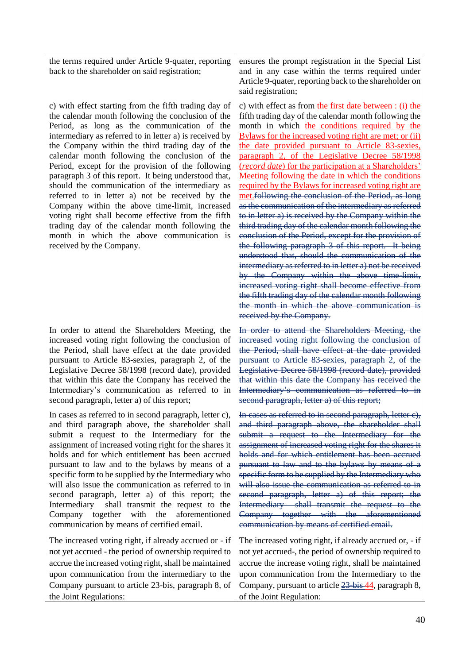the terms required under Article 9-quater, reporting back to the shareholder on said registration;

c) with effect starting from the fifth trading day of the calendar month following the conclusion of the Period, as long as the communication of the intermediary as referred to in letter a) is received by the Company within the third trading day of the calendar month following the conclusion of the Period, except for the provision of the following paragraph 3 of this report. It being understood that, should the communication of the intermediary as referred to in letter a) not be received by the Company within the above time-limit, increased voting right shall become effective from the fifth trading day of the calendar month following the month in which the above communication is received by the Company.

In order to attend the Shareholders Meeting, the increased voting right following the conclusion of the Period, shall have effect at the date provided pursuant to Article 83-sexies, paragraph 2, of the Legislative Decree 58/1998 (record date), provided that within this date the Company has received the Intermediary's communication as referred to in second paragraph, letter a) of this report;

In cases as referred to in second paragraph, letter c), and third paragraph above, the shareholder shall submit a request to the Intermediary for the assignment of increased voting right for the shares it holds and for which entitlement has been accrued pursuant to law and to the bylaws by means of a specific form to be supplied by the Intermediary who will also issue the communication as referred to in second paragraph, letter a) of this report; the Intermediary shall transmit the request to the Company together with the aforementioned communication by means of certified email.

The increased voting right, if already accrued or - if not yet accrued - the period of ownership required to accrue the increased voting right, shall be maintained upon communication from the intermediary to the Company pursuant to article 23-bis, paragraph 8, of the Joint Regulations:

ensures the prompt registration in the Special List and in any case within the terms required under Article 9-quater, reporting back to the shareholder on said registration;

c) with effect as from the first date between : (i) the fifth trading day of the calendar month following the month in which the conditions required by the Bylaws for the increased voting right are met; or (ii) the date provided pursuant to Article 83-sexies, paragraph 2, of the Legislative Decree 58/1998 (*record date*) for the participation at a Shareholders' Meeting following the date in which the conditions required by the Bylaws for increased voting right are met.following the conclusion of the Period, as long as the communication of the intermediary as referred to in letter a) is received by the Company within the third trading day of the calendar month following the conclusion of the Period, except for the provision of the following paragraph 3 of this report. It being understood that, should the communication of the intermediary as referred to in letter a) not be received by the Company within the above time-limit, increased voting right shall become effective from the fifth trading day of the calendar month following the month in which the above communication is received by the Company.

In order to attend the Shareholders Meeting, the increased voting right following the conclusion of the Period, shall have effect at the date provided pursuant to Article 83-sexies, paragraph 2, of the Legislative Decree 58/1998 (record date), provided that within this date the Company has received the Intermediary's communication as referred to in second paragraph, letter a) of this report;

In cases as referred to in second paragraph, letter c), and third paragraph above, the shareholder shall submit a request to the Intermediary for the assignment of increased voting right for the shares it holds and for which entitlement has been accrued pursuant to law and to the bylaws by means of a specific form to be supplied by the Intermediary who will also issue the communication as referred to in second paragraph, letter a) of this report; the Intermediary shall transmit the request to the Company together with the aforementioned communication by means of certified email.

The increased voting right, if already accrued or, - if not yet accrued-, the period of ownership required to accrue the increase voting right, shall be maintained upon communication from the Intermediary to the Company, pursuant to article  $\frac{23 \text{ bis } 44}{100 \text{ y}}$ , paragraph 8, of the Joint Regulation: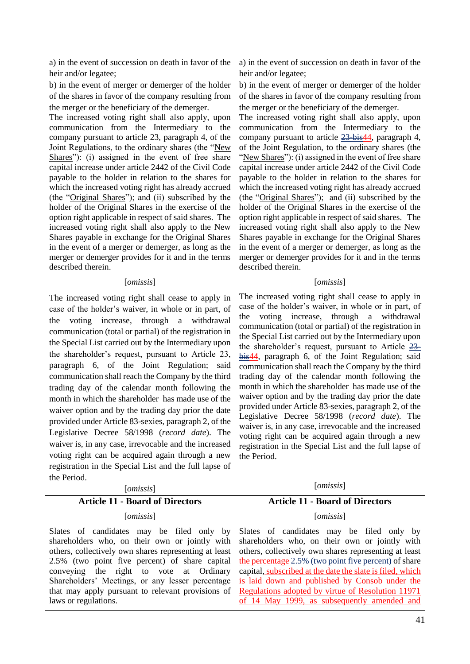a) in the event of succession on death in favor of the heir and/or legatee;

b) in the event of merger or demerger of the holder of the shares in favor of the company resulting from the merger or the beneficiary of the demerger.

The increased voting right shall also apply, upon communication from the Intermediary to the company pursuant to article 23, paragraph 4, of the Joint Regulations, to the ordinary shares (the "New Shares"): (i) assigned in the event of free share capital increase under article 2442 of the Civil Code payable to the holder in relation to the shares for which the increased voting right has already accrued (the "Original Shares"); and (ii) subscribed by the holder of the Original Shares in the exercise of the option right applicable in respect of said shares. The increased voting right shall also apply to the New Shares payable in exchange for the Original Shares in the event of a merger or demerger, as long as the merger or demerger provides for it and in the terms described therein.

#### [*omissis*]

The increased voting right shall cease to apply in case of the holder's waiver, in whole or in part, of the voting increase, through a withdrawal communication (total or partial) of the registration in the Special List carried out by the Intermediary upon the shareholder's request, pursuant to Article 23, paragraph 6, of the Joint Regulation; said communication shall reach the Company by the third trading day of the calendar month following the month in which the shareholder has made use of the waiver option and by the trading day prior the date provided under Article 83-sexies, paragraph 2, of the Legislative Decree 58/1998 (*record date*). The waiver is, in any case, irrevocable and the increased voting right can be acquired again through a new registration in the Special List and the full lapse of the Period.

[*omissis*] [*omissis*] **Article 11 - Board of Directors**  [*omissis*] Slates of candidates may be filed only by shareholders who, on their own or jointly with others, collectively own shares representing at least 2.5% (two point five percent) of share capital conveying the right to vote at Ordinary Shareholders' Meetings, or any lesser percentage that may apply pursuant to relevant provisions of laws or regulations. **Article 11 - Board of Directors**  [*omissis*] Slates of candidates may be filed only by shareholders who, on their own or jointly with others, collectively own shares representing at least the percentage 2.5% (two point five percent) of share capital, subscribed at the date the slate is filed, which is laid down and published by Consob under the Regulations adopted by virtue of Resolution 11971

a) in the event of succession on death in favor of the heir and/or legatee;

b) in the event of merger or demerger of the holder of the shares in favor of the company resulting from the merger or the beneficiary of the demerger.

The increased voting right shall also apply, upon communication from the Intermediary to the company pursuant to article 23-bis44, paragraph 4, of the Joint Regulation, to the ordinary shares (the "New Shares"): (i) assigned in the event of free share capital increase under article 2442 of the Civil Code payable to the holder in relation to the shares for which the increased voting right has already accrued (the "Original Shares"); and (ii) subscribed by the holder of the Original Shares in the exercise of the option right applicable in respect of said shares. The increased voting right shall also apply to the New Shares payable in exchange for the Original Shares in the event of a merger or demerger, as long as the merger or demerger provides for it and in the terms described therein.

#### [*omissis*]

The increased voting right shall cease to apply in case of the holder's waiver, in whole or in part, of the voting increase, through a withdrawal communication (total or partial) of the registration in the Special List carried out by the Intermediary upon the shareholder's request, pursuant to Article  $23$ bis44, paragraph 6, of the Joint Regulation; said communication shall reach the Company by the third trading day of the calendar month following the month in which the shareholder has made use of the waiver option and by the trading day prior the date provided under Article 83-sexies, paragraph 2, of the Legislative Decree 58/1998 (*record date*). The waiver is, in any case, irrevocable and the increased voting right can be acquired again through a new registration in the Special List and the full lapse of the Period.

of 14 May 1999, as subsequently amended and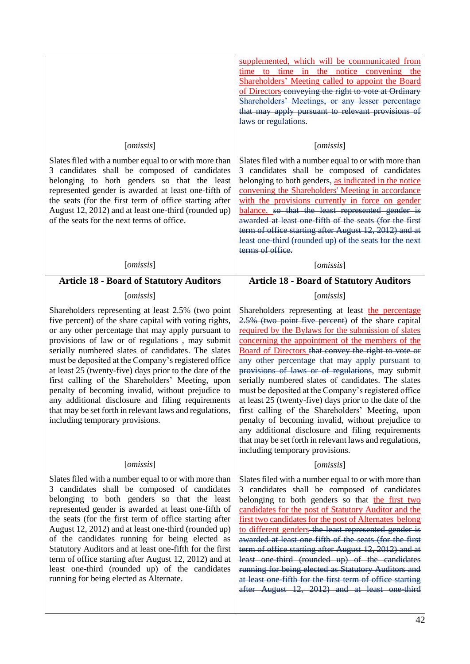|                                                                                                                                                                                                                                                                                                                                                                                                                                                                                                                                                                                                                                                            | supplemented, which will be communicated from<br>time to time in the notice convening the<br>Shareholders' Meeting called to appoint the Board<br>of Directors conveying the right to vote at Ordinary<br>Shareholders' Meetings, or any lesser percentage<br>that may apply pursuant to relevant provisions of<br>laws or regulations.                                                                                                                                                                                                                                                                                                                            |
|------------------------------------------------------------------------------------------------------------------------------------------------------------------------------------------------------------------------------------------------------------------------------------------------------------------------------------------------------------------------------------------------------------------------------------------------------------------------------------------------------------------------------------------------------------------------------------------------------------------------------------------------------------|--------------------------------------------------------------------------------------------------------------------------------------------------------------------------------------------------------------------------------------------------------------------------------------------------------------------------------------------------------------------------------------------------------------------------------------------------------------------------------------------------------------------------------------------------------------------------------------------------------------------------------------------------------------------|
| [omissis]<br>Slates filed with a number equal to or with more than<br>3 candidates shall be composed of candidates<br>belonging to both genders so that the least                                                                                                                                                                                                                                                                                                                                                                                                                                                                                          | [omissis]<br>Slates filed with a number equal to or with more than<br>3 candidates shall be composed of candidates<br>belonging to both genders, as indicated in the notice                                                                                                                                                                                                                                                                                                                                                                                                                                                                                        |
| represented gender is awarded at least one-fifth of<br>the seats (for the first term of office starting after<br>August 12, 2012) and at least one-third (rounded up)<br>of the seats for the next terms of office.                                                                                                                                                                                                                                                                                                                                                                                                                                        | convening the Shareholders' Meeting in accordance<br>with the provisions currently in force on gender<br>balance. so that the least represented gender is<br>awarded at least one fifth of the seats (for the first<br>term of office starting after August 12, 2012) and at<br>least one-third (rounded up) of the seats for the next<br>terms of office.                                                                                                                                                                                                                                                                                                         |
| [omissis]                                                                                                                                                                                                                                                                                                                                                                                                                                                                                                                                                                                                                                                  | [omissis]                                                                                                                                                                                                                                                                                                                                                                                                                                                                                                                                                                                                                                                          |
| <b>Article 18 - Board of Statutory Auditors</b>                                                                                                                                                                                                                                                                                                                                                                                                                                                                                                                                                                                                            | <b>Article 18 - Board of Statutory Auditors</b>                                                                                                                                                                                                                                                                                                                                                                                                                                                                                                                                                                                                                    |
| [omissis]                                                                                                                                                                                                                                                                                                                                                                                                                                                                                                                                                                                                                                                  | [omissis]                                                                                                                                                                                                                                                                                                                                                                                                                                                                                                                                                                                                                                                          |
| Shareholders representing at least 2.5% (two point<br>five percent) of the share capital with voting rights,<br>or any other percentage that may apply pursuant to<br>provisions of law or of regulations, may submit<br>serially numbered slates of candidates. The slates<br>must be deposited at the Company's registered office<br>at least 25 (twenty-five) days prior to the date of the<br>first calling of the Shareholders' Meeting, upon<br>penalty of becoming invalid, without prejudice to<br>any additional disclosure and filing requirements<br>that may be set forth in relevant laws and regulations,<br>including temporary provisions. | Shareholders representing at least the percentage<br>2.5% (two point five percent) of the share capital<br>required by the Bylaws for the submission of slates<br>concerning the appointment of the members of the<br>Board of Directors that convey the right to vote or<br>any other percentage that may apply pursuant to<br>provisions of laws or of regulations, may submit<br>serially numbered slates of candidates. The slates<br>must be deposited at the Company's registered office<br>at least 25 (twenty-five) days prior to the date of the<br>first calling of the Shareholders' Meeting, upon<br>penalty of becoming invalid, without prejudice to |
|                                                                                                                                                                                                                                                                                                                                                                                                                                                                                                                                                                                                                                                            | any additional disclosure and filing requirements<br>that may be set forth in relevant laws and regulations,<br>including temporary provisions.                                                                                                                                                                                                                                                                                                                                                                                                                                                                                                                    |
| [omissis]                                                                                                                                                                                                                                                                                                                                                                                                                                                                                                                                                                                                                                                  | [omissis]                                                                                                                                                                                                                                                                                                                                                                                                                                                                                                                                                                                                                                                          |

after August 12, 2012) and at least one-third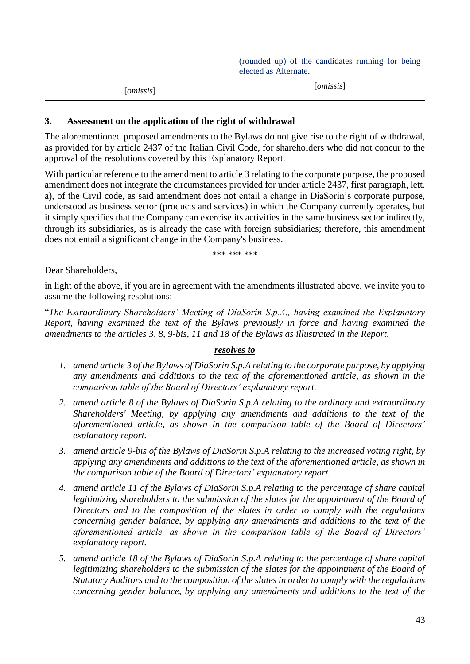|           | (rounded up) of the candidates running for being<br>elected as Alternate. |
|-----------|---------------------------------------------------------------------------|
| [omissis] | [omissis]                                                                 |

## **3. Assessment on the application of the right of withdrawal**

The aforementioned proposed amendments to the Bylaws do not give rise to the right of withdrawal, as provided for by article 2437 of the Italian Civil Code, for shareholders who did not concur to the approval of the resolutions covered by this Explanatory Report.

With particular reference to the amendment to article 3 relating to the corporate purpose, the proposed amendment does not integrate the circumstances provided for under article 2437, first paragraph, lett. a), of the Civil code, as said amendment does not entail a change in DiaSorin's corporate purpose, understood as business sector (products and services) in which the Company currently operates, but it simply specifies that the Company can exercise its activities in the same business sector indirectly, through its subsidiaries, as is already the case with foreign subsidiaries; therefore, this amendment does not entail a significant change in the Company's business.

\*\*\* \*\*\* \*\*\*

Dear Shareholders,

in light of the above, if you are in agreement with the amendments illustrated above, we invite you to assume the following resolutions:

"*The Extraordinary Shareholders' Meeting of DiaSorin S.p.A., having examined the Explanatory Report, having examined the text of the Bylaws previously in force and having examined the amendments to the articles 3, 8, 9-bis, 11 and 18 of the Bylaws as illustrated in the Report,*

#### *resolves to*

- *1. amend article 3 of the Bylaws of DiaSorin S.p.A relating to the corporate purpose, by applying any amendments and additions to the text of the aforementioned article, as shown in the comparison table of the Board of Directors' explanatory report.*
- *2. amend article 8 of the Bylaws of DiaSorin S.p.A relating to the ordinary and extraordinary Shareholders' Meeting, by applying any amendments and additions to the text of the aforementioned article, as shown in the comparison table of the Board of Directors' explanatory report.*
- *3. amend article 9-bis of the Bylaws of DiaSorin S.p.A relating to the increased voting right, by applying any amendments and additions to the text of the aforementioned article, as shown in the comparison table of the Board of Directors' explanatory report.*
- *4. amend article 11 of the Bylaws of DiaSorin S.p.A relating to the percentage of share capital legitimizing shareholders to the submission of the slates for the appointment of the Board of Directors and to the composition of the slates in order to comply with the regulations concerning gender balance, by applying any amendments and additions to the text of the aforementioned article, as shown in the comparison table of the Board of Directors' explanatory report.*
- *5. amend article 18 of the Bylaws of DiaSorin S.p.A relating to the percentage of share capital legitimizing shareholders to the submission of the slates for the appointment of the Board of Statutory Auditors and to the composition of the slates in order to comply with the regulations concerning gender balance, by applying any amendments and additions to the text of the*